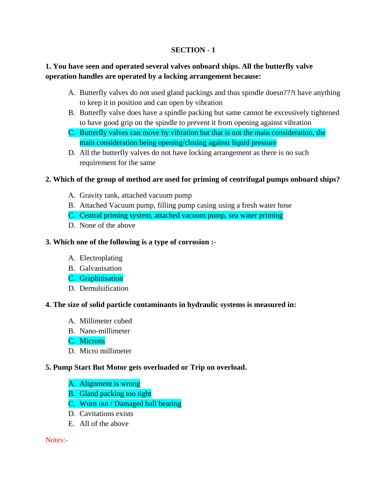# **SECTION - 1**

# **1. You have seen and operated several valves onboard ships. All the butterfly valve operation handles are operated by a locking arrangement because:**

- A. Butterfly valves do not used gland packings and thus spindle doesn???t have anything to keep it in position and can open by vibration
- B. Butterfly valve does have a spindle packing but same cannot be excessively tightened to have good grip on the spindle to prevent it from opening against vibration
- C. Butterfly valves can move by vibration but that is not the main consideration, the main consideration being opening/closing against liquid pressure
- D. All the butterfly valves do not have locking arrangement as there is no such requirement for the same

# **2. Which of the group of method are used for priming of centrifugal pumps onboard ships?**

- A. Gravity tank, attached vacuum pump
- B. Attached Vacuum pump, filling pump casing using a fresh water hose
- C. Central priming system, attached vacuum pump, sea water priming
- D. None of the above

# **3. Which one of the following is a type of corrosion :-**

- A. Electroplating
- B. Galvanisation
- C. Graphitisation
- D. Demulsification

# **4. The size of solid particle contaminants in hydraulic systems is measured in:**

- A. Millimeter cubed
- B. Nano-millimeter
- C. Microns
- D. Micro millimeter

# **5. Pump Start But Motor gets overloaded or Trip on overload.**

- A. Alignment is wrong
- B. Gland packing too tight
- C. Worn out / Damaged ball bearing
- D. Cavitations exists
- E. All of the above

# Notes:-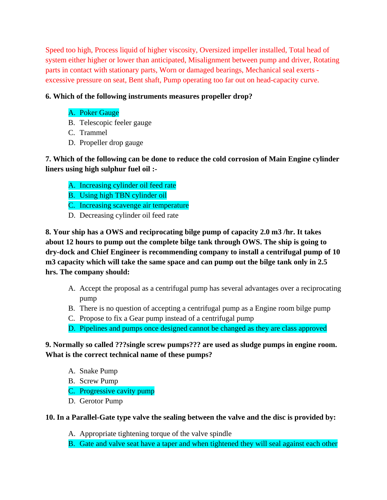Speed too high, Process liquid of higher viscosity, Oversized impeller installed, Total head of system either higher or lower than anticipated, Misalignment between pump and driver, Rotating parts in contact with stationary parts, Worn or damaged bearings, Mechanical seal exerts excessive pressure on seat, Bent shaft, Pump operating too far out on head-capacity curve.

# **6. Which of the following instruments measures propeller drop?**

# A. Poker Gauge

- B. Telescopic feeler gauge
- C. Trammel
- D. Propeller drop gauge

**7. Which of the following can be done to reduce the cold corrosion of Main Engine cylinder liners using high sulphur fuel oil :-**

- A. Increasing cylinder oil feed rate
- B. Using high TBN cylinder oil
- C. Increasing scavenge air temperature
- D. Decreasing cylinder oil feed rate

**8. Your ship has a OWS and reciprocating bilge pump of capacity 2.0 m3 /hr. It takes about 12 hours to pump out the complete bilge tank through OWS. The ship is going to dry-dock and Chief Engineer is recommending company to install a centrifugal pump of 10 m3 capacity which will take the same space and can pump out the bilge tank only in 2.5 hrs. The company should:**

- A. Accept the proposal as a centrifugal pump has several advantages over a reciprocating pump
- B. There is no question of accepting a centrifugal pump as a Engine room bilge pump
- C. Propose to fix a Gear pump instead of a centrifugal pump
- D. Pipelines and pumps once designed cannot be changed as they are class approved

**9. Normally so called ???single screw pumps??? are used as sludge pumps in engine room. What is the correct technical name of these pumps?**

- A. Snake Pump
- B. Screw Pump
- C. Progressive cavity pump
- D. Gerotor Pump

# **10. In a Parallel-Gate type valve the sealing between the valve and the disc is provided by:**

- A. Appropriate tightening torque of the valve spindle
- B. Gate and valve seat have a taper and when tightened they will seal against each other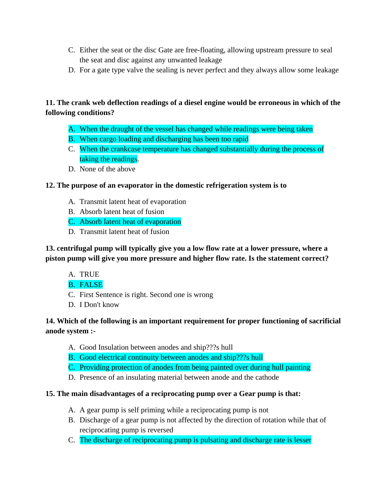- C. Either the seat or the disc Gate are free-floating, allowing upstream pressure to seal the seat and disc against any unwanted leakage
- D. For a gate type valve the sealing is never perfect and they always allow some leakage

# **11. The crank web deflection readings of a diesel engine would be erroneous in which of the following conditions?**

- A. When the draught of the vessel has changed while readings were being taken
- B. When cargo loading and discharging has been too rapid
- C. When the crankcase temperature has changed substantially during the process of taking the readings.
- D. None of the above

# **12. The purpose of an evaporator in the domestic refrigeration system is to**

- A. Transmit latent heat of evaporation
- B. Absorb latent heat of fusion
- C. Absorb latent heat of evaporation
- D. Transmit latent heat of fusion

**13. centrifugal pump will typically give you a low flow rate at a lower pressure, where a piston pump will give you more pressure and higher flow rate. Is the statement correct?**

- A. TRUE
- B. FALSE
- C. First Sentence is right. Second one is wrong
- D. I Don't know

# **14. Which of the following is an important requirement for proper functioning of sacrificial anode system :-**

- A. Good Insulation between anodes and ship???s hull
- B. Good electrical continuity between anodes and ship???s hull
- C. Providing protection of anodes from being painted over during hull painting
- D. Presence of an insulating material between anode and the cathode

# **15. The main disadvantages of a reciprocating pump over a Gear pump is that:**

- A. A gear pump is self priming while a reciprocating pump is not
- B. Discharge of a gear pump is not affected by the direction of rotation while that of reciprocating pump is reversed
- C. The discharge of reciprocating pump is pulsating and discharge rate is lesser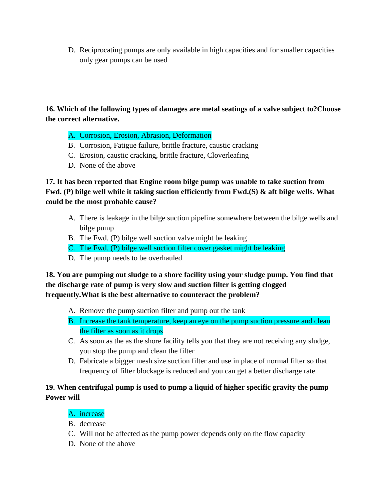D. Reciprocating pumps are only available in high capacities and for smaller capacities only gear pumps can be used

# **16. Which of the following types of damages are metal seatings of a valve subject to?Choose the correct alternative.**

# A. Corrosion, Erosion, Abrasion, Deformation

- B. Corrosion, Fatigue failure, brittle fracture, caustic cracking
- C. Erosion, caustic cracking, brittle fracture, Cloverleafing
- D. None of the above

# **17. It has been reported that Engine room bilge pump was unable to take suction from Fwd. (P) bilge well while it taking suction efficiently from Fwd.(S) & aft bilge wells. What could be the most probable cause?**

- A. There is leakage in the bilge suction pipeline somewhere between the bilge wells and bilge pump
- B. The Fwd. (P) bilge well suction valve might be leaking
- C. The Fwd. (P) bilge well suction filter cover gasket might be leaking
- D. The pump needs to be overhauled

# **18. You are pumping out sludge to a shore facility using your sludge pump. You find that the discharge rate of pump is very slow and suction filter is getting clogged frequently.What is the best alternative to counteract the problem?**

- A. Remove the pump suction filter and pump out the tank
- B. Increase the tank temperature, keep an eye on the pump suction pressure and clean the filter as soon as it drops
- C. As soon as the as the shore facility tells you that they are not receiving any sludge, you stop the pump and clean the filter
- D. Fabricate a bigger mesh size suction filter and use in place of normal filter so that frequency of filter blockage is reduced and you can get a better discharge rate

# **19. When centrifugal pump is used to pump a liquid of higher specific gravity the pump Power will**

# A. increase

- B. decrease
- C. Will not be affected as the pump power depends only on the flow capacity
- D. None of the above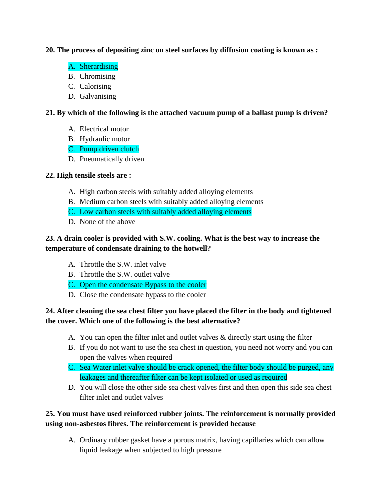# **20. The process of depositing zinc on steel surfaces by diffusion coating is known as :**

- A. Sherardising
- B. Chromising
- C. Calorising
- D. Galvanising

# **21. By which of the following is the attached vacuum pump of a ballast pump is driven?**

- A. Electrical motor
- B. Hydraulic motor
- C. Pump driven clutch
- D. Pneumatically driven

# **22. High tensile steels are :**

- A. High carbon steels with suitably added alloying elements
- B. Medium carbon steels with suitably added alloying elements
- C. Low carbon steels with suitably added alloying elements
- D. None of the above

# **23. A drain cooler is provided with S.W. cooling. What is the best way to increase the temperature of condensate draining to the hotwell?**

- A. Throttle the S.W. inlet valve
- B. Throttle the S.W. outlet valve
- C. Open the condensate Bypass to the cooler
- D. Close the condensate bypass to the cooler

# **24. After cleaning the sea chest filter you have placed the filter in the body and tightened the cover. Which one of the following is the best alternative?**

- A. You can open the filter inlet and outlet valves & directly start using the filter
- B. If you do not want to use the sea chest in question, you need not worry and you can open the valves when required
- C. Sea Water inlet valve should be crack opened, the filter body should be purged, any leakages and thereafter filter can be kept isolated or used as required
- D. You will close the other side sea chest valves first and then open this side sea chest filter inlet and outlet valves

# **25. You must have used reinforced rubber joints. The reinforcement is normally provided using non-asbestos fibres. The reinforcement is provided because**

A. Ordinary rubber gasket have a porous matrix, having capillaries which can allow liquid leakage when subjected to high pressure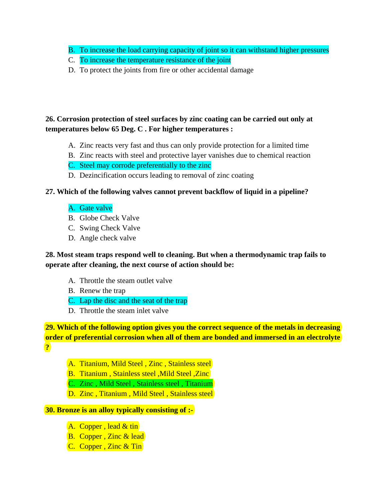- B. To increase the load carrying capacity of joint so it can withstand higher pressures
- C. To increase the temperature resistance of the joint
- D. To protect the joints from fire or other accidental damage

# **26. Corrosion protection of steel surfaces by zinc coating can be carried out only at temperatures below 65 Deg. C . For higher temperatures :**

- A. Zinc reacts very fast and thus can only provide protection for a limited time
- B. Zinc reacts with steel and protective layer vanishes due to chemical reaction
- C. Steel may corrode preferentially to the zinc
- D. Dezincification occurs leading to removal of zinc coating

# **27. Which of the following valves cannot prevent backflow of liquid in a pipeline?**

# A. Gate valve

- B. Globe Check Valve
- C. Swing Check Valve
- D. Angle check valve

# **28. Most steam traps respond well to cleaning. But when a thermodynamic trap fails to operate after cleaning, the next course of action should be:**

- A. Throttle the steam outlet valve
- B. Renew the trap
- C. Lap the disc and the seat of the trap
- D. Throttle the steam inlet valve

**29. Which of the following option gives you the correct sequence of the metals in decreasing order of preferential corrosion when all of them are bonded and immersed in an electrolyte ?**

- A. Titanium, Mild Steel , Zinc , Stainless steel
- B. Titanium , Stainless steel ,Mild Steel ,Zinc
- C. Zinc , Mild Steel , Stainless steel , Titanium
- D. Zinc, Titanium, Mild Steel, Stainless steel

# **30. Bronze is an alloy typically consisting of :-**

- A. Copper, lead & tin
- **B.** Copper, Zinc & lead
- C. Copper , Zinc & Tin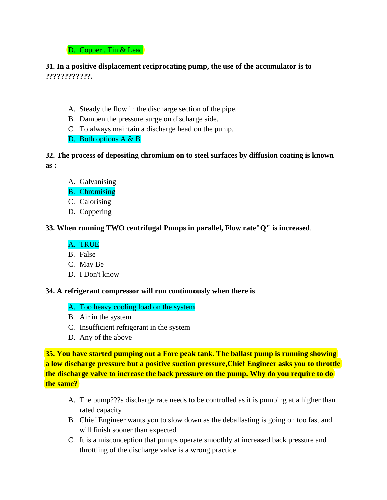# D. Copper, Tin & Lead

# **31. In a positive displacement reciprocating pump, the use of the accumulator is to ????????????.**

- A. Steady the flow in the discharge section of the pipe.
- B. Dampen the pressure surge on discharge side.
- C. To always maintain a discharge head on the pump.
- D. Both options A & B

# **32. The process of depositing chromium on to steel surfaces by diffusion coating is known as :**

- A. Galvanising
- B. Chromising
- C. Calorising
- D. Coppering

# **33. When running TWO centrifugal Pumps in parallel, Flow rate"Q" is increased**.

# A. TRUE

- B. False
- C. May Be
- D. I Don't know

# **34. A refrigerant compressor will run continuously when there is**

# A. Too heavy cooling load on the system

- B. Air in the system
- C. Insufficient refrigerant in the system
- D. Any of the above

**35. You have started pumping out a Fore peak tank. The ballast pump is running showing a low discharge pressure but a positive suction pressure,Chief Engineer asks you to throttle the discharge valve to increase the back pressure on the pump. Why do you require to do the same?**

- A. The pump???s discharge rate needs to be controlled as it is pumping at a higher than rated capacity
- B. Chief Engineer wants you to slow down as the deballasting is going on too fast and will finish sooner than expected
- C. It is a misconception that pumps operate smoothly at increased back pressure and throttling of the discharge valve is a wrong practice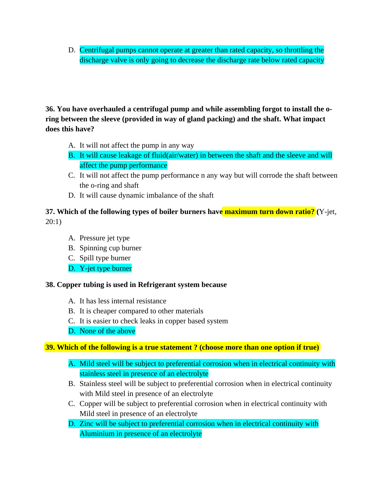D. Centrifugal pumps cannot operate at greater than rated capacity, so throttling the discharge valve is only going to decrease the discharge rate below rated capacity

**36. You have overhauled a centrifugal pump and while assembling forgot to install the oring between the sleeve (provided in way of gland packing) and the shaft. What impact does this have?**

- A. It will not affect the pump in any way
- B. It will cause leakage of fluid(air/water) in between the shaft and the sleeve and will affect the pump performance
- C. It will not affect the pump performance n any way but will corrode the shaft between the o-ring and shaft
- D. It will cause dynamic imbalance of the shaft

# **37. Which of the following types of boiler burners have maximum turn down ratio? (**Y-jet, 20:1)

- A. Pressure jet type
- B. Spinning cup burner
- C. Spill type burner
- D. Y-jet type burner

# **38. Copper tubing is used in Refrigerant system because**

- A. It has less internal resistance
- B. It is cheaper compared to other materials
- C. It is easier to check leaks in copper based system
- D. None of the above

# **39. Which of the following is a true statement ? (choose more than one option if true)**

- A. Mild steel will be subject to preferential corrosion when in electrical continuity with stainless steel in presence of an electrolyte
- B. Stainless steel will be subject to preferential corrosion when in electrical continuity with Mild steel in presence of an electrolyte
- C. Copper will be subject to preferential corrosion when in electrical continuity with Mild steel in presence of an electrolyte
- D. Zinc will be subject to preferential corrosion when in electrical continuity with Aluminium in presence of an electrolyte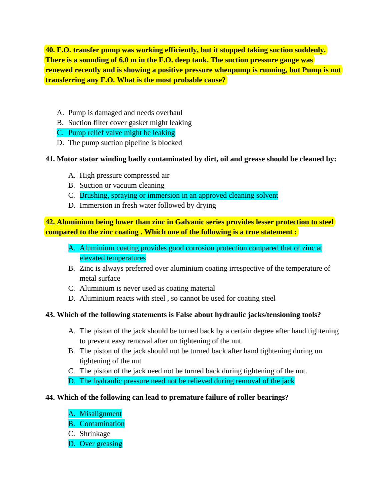**40. F.O. transfer pump was working efficiently, but it stopped taking suction suddenly. There is a sounding of 6.0 m in the F.O. deep tank. The suction pressure gauge was renewed recently and is showing a positive pressure whenpump is running, but Pump is not transferring any F.O. What is the most probable cause?**

- A. Pump is damaged and needs overhaul
- B. Suction filter cover gasket might leaking
- C. Pump relief valve might be leaking
- D. The pump suction pipeline is blocked

# **41. Motor stator winding badly contaminated by dirt, oil and grease should be cleaned by:**

- A. High pressure compressed air
- B. Suction or vacuum cleaning
- C. Brushing, spraying or immersion in an approved cleaning solvent
- D. Immersion in fresh water followed by drying

**42. Aluminium being lower than zinc in Galvanic series provides lesser protection to steel compared to the zinc coating . Which one of the following is a true statement :**

- A. Aluminium coating provides good corrosion protection compared that of zinc at elevated temperatures
- B. Zinc is always preferred over aluminium coating irrespective of the temperature of metal surface
- C. Aluminium is never used as coating material
- D. Aluminium reacts with steel , so cannot be used for coating steel

# **43. Which of the following statements is False about hydraulic jacks/tensioning tools?**

- A. The piston of the jack should be turned back by a certain degree after hand tightening to prevent easy removal after un tightening of the nut.
- B. The piston of the jack should not be turned back after hand tightening during un tightening of the nut
- C. The piston of the jack need not be turned back during tightening of the nut.
- D. The hydraulic pressure need not be relieved during removal of the jack

# **44. Which of the following can lead to premature failure of roller bearings?**

- A. Misalignment
- B. Contamination
- C. Shrinkage
- D. Over greasing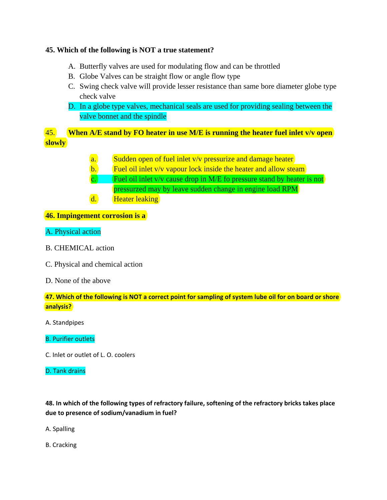# **45. Which of the following is NOT a true statement?**

- A. Butterfly valves are used for modulating flow and can be throttled
- B. Globe Valves can be straight flow or angle flow type
- C. Swing check valve will provide lesser resistance than same bore diameter globe type check valve
- D. In a globe type valves, mechanical seals are used for providing sealing between the valve bonnet and the spindle

45. **When A/E stand by FO heater in use M/E is running the heater fuel inlet v/v open slowly**

- a. Sudden open of fuel inlet v/v pressurize and damage heater
- b. Fuel oil inlet  $v/v$  vapour lock inside the heater and allow steam
- c. Fuel oil inlet v/v cause drop in M/E fo pressure stand by heater is not pressurzed may by leave sudden change in engine load RPM
- d. Heater leaking

# **46. Impingement corrosion is a**

# A. Physical action

- B. CHEMICAL action
- C. Physical and chemical action
- D. None of the above

**47. Which of the following is NOT a correct point for sampling of system lube oil for on board or shore analysis?** 

A. Standpipes

# B. Purifier outlets

C. Inlet or outlet of L. O. coolers

### D. Tank drains

# **48. In which of the following types of refractory failure, softening of the refractory bricks takes place due to presence of sodium/vanadium in fuel?**

A. Spalling

B. Cracking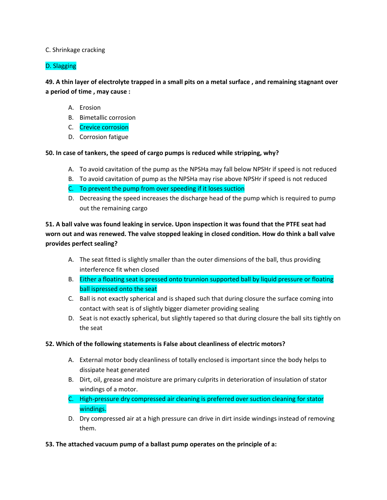## C. Shrinkage cracking

# D. Slagging

**49. A thin layer of electrolyte trapped in a small pits on a metal surface , and remaining stagnant over a period of time , may cause :** 

- A. Erosion
- B. Bimetallic corrosion
- C. Crevice corrosion
- D. Corrosion fatigue

**50. In case of tankers, the speed of cargo pumps is reduced while stripping, why?** 

- A. To avoid cavitation of the pump as the NPSHa may fall below NPSHr if speed is not reduced
- B. To avoid cavitation of pump as the NPSHa may rise above NPSHr if speed is not reduced
- C. To prevent the pump from over speeding if it loses suction
- D. Decreasing the speed increases the discharge head of the pump which is required to pump out the remaining cargo

**51. A ball valve was found leaking in service. Upon inspection it was found that the PTFE seat had worn out and was renewed. The valve stopped leaking in closed condition. How do think a ball valve provides perfect sealing?** 

- A. The seat fitted is slightly smaller than the outer dimensions of the ball, thus providing interference fit when closed
- B. Either a floating seat is pressed onto trunnion supported ball by liquid pressure or floating ball ispressed onto the seat
- C. Ball is not exactly spherical and is shaped such that during closure the surface coming into contact with seat is of slightly bigger diameter providing sealing
- D. Seat is not exactly spherical, but slightly tapered so that during closure the ball sits tightly on the seat

### **52. Which of the following statements is False about cleanliness of electric motors?**

- A. External motor body cleanliness of totally enclosed is important since the body helps to dissipate heat generated
- B. Dirt, oil, grease and moisture are primary culprits in deterioration of insulation of stator windings of a motor.
- C. High-pressure dry compressed air cleaning is preferred over suction cleaning for stator windings.
- D. Dry compressed air at a high pressure can drive in dirt inside windings instead of removing them.
- **53. The attached vacuum pump of a ballast pump operates on the principle of a:**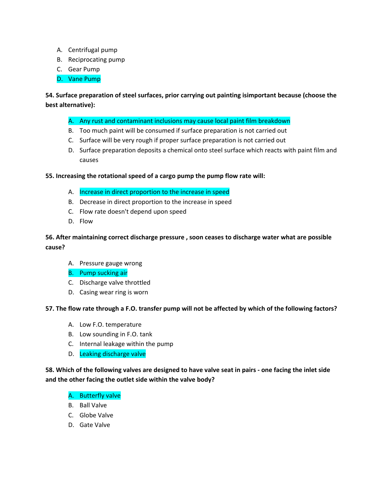- A. Centrifugal pump
- B. Reciprocating pump
- C. Gear Pump
- D. Vane Pump

# **54. Surface preparation of steel surfaces, prior carrying out painting isimportant because (choose the best alternative):**

- A. Any rust and contaminant inclusions may cause local paint film breakdown
- B. Too much paint will be consumed if surface preparation is not carried out
- C. Surface will be very rough if proper surface preparation is not carried out
- D. Surface preparation deposits a chemical onto steel surface which reacts with paint film and causes

## **55. Increasing the rotational speed of a cargo pump the pump flow rate will:**

- A. Increase in direct proportion to the increase in speed
- B. Decrease in direct proportion to the increase in speed
- C. Flow rate doesn't depend upon speed
- D. Flow

# **56. After maintaining correct discharge pressure , soon ceases to discharge water what are possible cause?**

- A. Pressure gauge wrong
- B. Pump sucking air
- C. Discharge valve throttled
- D. Casing wear ring is worn

### **57. The flow rate through a F.O. transfer pump will not be affected by which of the following factors?**

- A. Low F.O. temperature
- B. Low sounding in F.O. tank
- C. Internal leakage within the pump
- D. Leaking discharge valve

**58. Which of the following valves are designed to have valve seat in pairs - one facing the inlet side and the other facing the outlet side within the valve body?** 

## A. Butterfly valve

- B. Ball Valve
- C. Globe Valve
- D. Gate Valve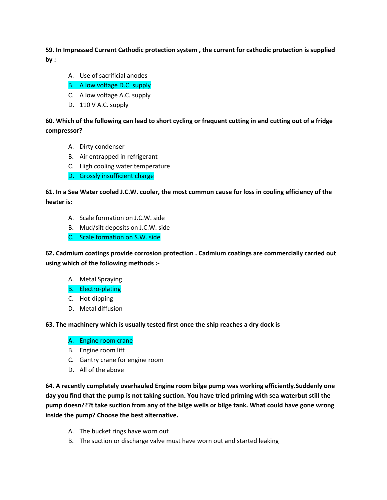**59. In Impressed Current Cathodic protection system , the current for cathodic protection is supplied by :** 

- A. Use of sacrificial anodes
- B. A low voltage D.C. supply
- C. A low voltage A.C. supply
- D. 110 V A.C. supply

**60. Which of the following can lead to short cycling or frequent cutting in and cutting out of a fridge compressor?** 

- A. Dirty condenser
- B. Air entrapped in refrigerant
- C. High cooling water temperature
- D. Grossly insufficient charge

**61. In a Sea Water cooled J.C.W. cooler, the most common cause for loss in cooling efficiency of the heater is:** 

- A. Scale formation on J.C.W. side
- B. Mud/silt deposits on J.C.W. side
- C. Scale formation on S.W. side

**62. Cadmium coatings provide corrosion protection . Cadmium coatings are commercially carried out using which of the following methods :-**

- A. Metal Spraying
- B. Electro-plating
- C. Hot-dipping
- D. Metal diffusion

**63. The machinery which is usually tested first once the ship reaches a dry dock is** 

- A. Engine room crane
- B. Engine room lift
- C. Gantry crane for engine room
- D. All of the above

**64. A recently completely overhauled Engine room bilge pump was working efficiently.Suddenly one day you find that the pump is not taking suction. You have tried priming with sea waterbut still the pump doesn???t take suction from any of the bilge wells or bilge tank. What could have gone wrong inside the pump? Choose the best alternative.** 

- A. The bucket rings have worn out
- B. The suction or discharge valve must have worn out and started leaking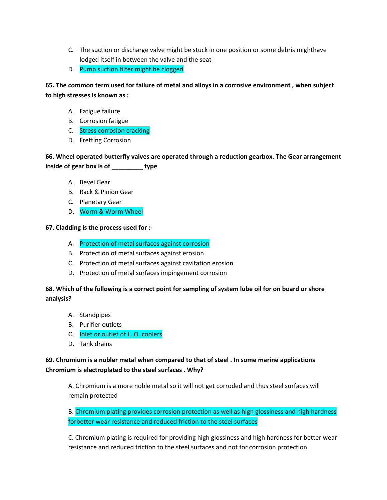- C. The suction or discharge valve might be stuck in one position or some debris mighthave lodged itself in between the valve and the seat
- D. Pump suction filter might be clogged

**65. The common term used for failure of metal and alloys in a corrosive environment , when subject to high stresses is known as :** 

- A. Fatigue failure
- B. Corrosion fatigue
- C. Stress corrosion cracking
- D. Fretting Corrosion

**66. Wheel operated butterfly valves are operated through a reduction gearbox. The Gear arrangement inside of gear box is of \_\_\_\_\_\_\_\_\_ type** 

- A. Bevel Gear
- B. Rack & Pinion Gear
- C. Planetary Gear
- D. Worm & Worm Wheel

**67. Cladding is the process used for :-**

- A. Protection of metal surfaces against corrosion
- B. Protection of metal surfaces against erosion
- C. Protection of metal surfaces against cavitation erosion
- D. Protection of metal surfaces impingement corrosion

# **68. Which of the following is a correct point for sampling of system lube oil for on board or shore analysis?**

- A. Standpipes
- B. Purifier outlets
- C. Inlet or outlet of L. O. coolers
- D. Tank drains

# **69. Chromium is a nobler metal when compared to that of steel . In some marine applications Chromium is electroplated to the steel surfaces . Why?**

A. Chromium is a more noble metal so it will not get corroded and thus steel surfaces will remain protected

B. Chromium plating provides corrosion protection as well as high glossiness and high hardness forbetter wear resistance and reduced friction to the steel surfaces

C. Chromium plating is required for providing high glossiness and high hardness for better wear resistance and reduced friction to the steel surfaces and not for corrosion protection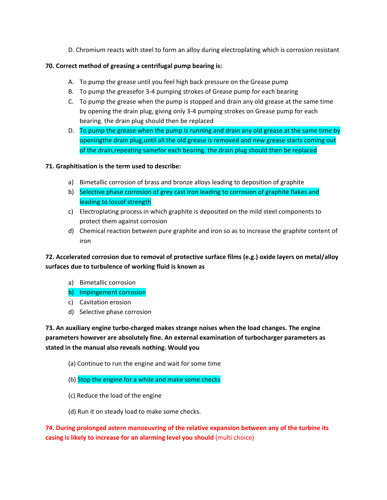D. Chromium reacts with steel to form an alloy during electroplating which is corrosion resistant

## **70. Correct method of greasing a centrifugal pump bearing is:**

- A. To pump the grease until you feel high back pressure on the Grease pump
- B. To pump the greasefor 3-4 pumping strokes of Grease pump for each bearing
- C. To pump the grease when the pump is stopped and drain any old grease at the same time by opening the drain plug, giving only 3-4 pumping strokes on Grease pump for each bearing. the drain plug should then be replaced
- D. To pump the grease when the pump is running and drain any old grease at the same time by openingthe drain plug,until all the old grease is removed and new grease starts coming out of the drain,repeating samefor each bearing. the drain plug should then be replaced

## **71. Graphitisation is the term used to describe:**

- a) Bimetallic corrosion of brass and bronze alloys leading to deposition of graphite
- b) Selective phase corrosion of grey cast iron leading to corrosion of graphite flakes and leading to lossof strength
- c) Electroplating process in which graphite is deposited on the mild steel components to protect them against corrosion
- d) Chemical reaction between pure graphite and iron so as to increase the graphite content of iron

# **72. Accelerated corrosion due to removal of protective surface films (e.g.) oxide layers on metal/alloy surfaces due to turbulence of working fluid is known as**

a) Bimetallic corrosion

# b) Impingement corrosion

- c) Cavitation erosion
- d) Selective phase corrosion

**73. An auxiliary engine turbo-charged makes strange noises when the load changes. The engine parameters however are absolutely fine. An external examination of turbocharger parameters as stated in the manual also reveals nothing. Would you**

- (a) Continue to run the engine and wait for some time
- (b) Stop the engine for a while and make some checks
- (c) Reduce the load of the engine
- (d) Run it on steady load to make some checks.

**74. During prolonged astern manoeuvring of the relative expansion between any of the turbine its casing is likely to increase for an alarming level you should** (multi choice)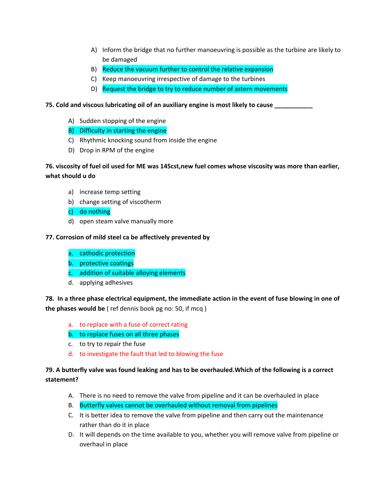- A) Inform the bridge that no further manoeuvring is possible as the turbine are likely to be damaged
- B) Reduce the vacuum further to control the relative expansion
- C) Keep manoeuvring irrespective of damage to the turbines
- D) Request the bridge to try to reduce number of astern movements
- **75. Cold and viscous lubricating oil of an auxiliary engine is most likely to cause \_\_\_\_\_\_\_\_\_\_\_**
	- A) Sudden stopping of the engine
	- B) Difficulty in starting the engine
	- C) Rhythmic knocking sound from inside the engine
	- D) Drop in RPM of the engine

# **76. viscosity of fuel oil used for ME was 145cst,new fuel comes whose viscosity was more than earlier, what should u do**

- a) increase temp setting
- b) change setting of viscotherm
- c) do nothing
- d) open steam valve manually more

### **77. Corrosion of mild steel ca be affectively prevented by**

- a. cathodic protection
- b. protective coatings
- c. addition of suitable alloying elements
- d. applying adhesives

**78. In a three phase electrical equipment, the immediate action in the event of fuse blowing in one of the phases would be** ( ref dennis book pg no: 50, if mcq )

a. to replace with a fuse of correct rating

### b. to replace fuses on all three phases

- c. to try to repair the fuse
- d. to investigate the fault that led to blowing the fuse

# **79. A butterfly valve was found leaking and has to be overhauled.Which of the following is a correct statement?**

- A. There is no need to remove the valve from pipeline and it can be overhauled in place
- B. Butterfly valves cannot be overhauled without removal from pipelines
- C. It is better idea to remove the valve from pipeline and then carry out the maintenance rather than do it in place
- D. It will depends on the time available to you, whether you will remove valve from pipeline or overhaul in place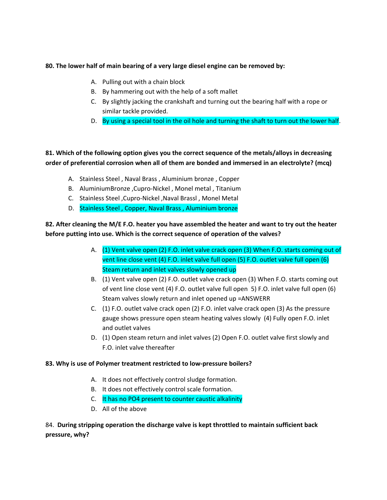## **80. The lower half of main bearing of a very large diesel engine can be removed by:**

- A. Pulling out with a chain block
- B. By hammering out with the help of a soft mallet
- C. By slightly jacking the crankshaft and turning out the bearing half with a rope or similar tackle provided.
- D. By using a special tool in the oil hole and turning the shaft to turn out the lower half.

# **81. Which of the following option gives you the correct sequence of the metals/alloys in decreasing order of preferential corrosion when all of them are bonded and immersed in an electrolyte? (mcq)**

- A. Stainless Steel , Naval Brass , Aluminium bronze , Copper
- B. AluminiumBronze ,Cupro-Nickel , Monel metal , Titanium
- C. Stainless Steel ,Cupro-Nickel ,Naval Brassl , Monel Metal
- D. Stainless Steel , Copper, Naval Brass , Aluminium bronze

**82. After cleaning the M/E F.O. heater you have assembled the heater and want to try out the heater before putting into use. Which is the correct sequence of operation of the valves?** 

- A. (1) Vent valve open (2) F.O. inlet valve crack open (3) When F.O. starts coming out of vent line close vent (4) F.O. inlet valve full open (5) F.O. outlet valve full open (6) Steam return and inlet valves slowly opened up
- B. (1) Vent valve open (2) F.O. outlet valve crack open (3) When F.O. starts coming out of vent line close vent (4) F.O. outlet valve full open 5) F.O. inlet valve full open (6) Steam valves slowly return and inlet opened up =ANSWERR
- C. (1) F.O. outlet valve crack open (2) F.O. inlet valve crack open (3) As the pressure gauge shows pressure open steam heating valves slowly (4) Fully open F.O. inlet and outlet valves
- D. (1) Open steam return and inlet valves (2) Open F.O. outlet valve first slowly and F.O. inlet valve thereafter

### **83. Why is use of Polymer treatment restricted to low-pressure boilers?**

- A. It does not effectively control sludge formation.
- B. It does not effectively control scale formation.
- C. It has no PO4 present to counter caustic alkalinity
- D. All of the above

# 84. **During stripping operation the discharge valve is kept throttled to maintain sufficient back pressure, why?**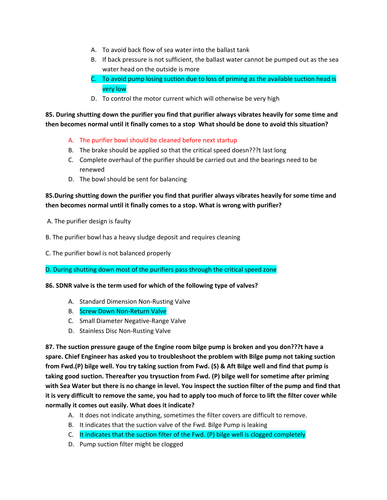- A. To avoid back flow of sea water into the ballast tank
- B. If back pressure is not sufficient, the ballast water cannot be pumped out as the sea water head on the outside is more
- C. To avoid pump losing suction due to loss of priming as the available suction head is very low
- D. To control the motor current which will otherwise be very high

**85. During shutting down the purifier you find that purifier always vibrates heavily for some time and then becomes normal until it finally comes to a stop What should be done to avoid this situation?** 

- A. The purifier bowl should be cleaned before next startup
- B. The brake should be applied so that the critical speed doesn???t last long
- C. Complete overhaul of the purifier should be carried out and the bearings need to be renewed
- D. The bowl should be sent for balancing

# **85.During shutting down the purifier you find that purifier always vibrates heavily for some time and then becomes normal until it finally comes to a stop. What is wrong with purifier?**

- A. The purifier design is faulty
- B. The purifier bowl has a heavy sludge deposit and requires cleaning
- C. The purifier bowl is not balanced properly

D. During shutting down most of the purifiers pass through the critical speed zone

**86. SDNR valve is the term used for which of the following type of valves?** 

- A. Standard Dimension Non-Rusting Valve
- B. Screw Down Non-Return Valve
- C. Small Diameter Negative-Range Valve
- D. Stainless Disc Non-Rusting Valve

**87. The suction pressure gauge of the Engine room bilge pump is broken and you don???t have a spare. Chief Engineer has asked you to troubleshoot the problem with Bilge pump not taking suction from Fwd.(P) bilge well. You try taking suction from Fwd. (S) & Aft Bilge well and find that pump is taking good suction. Thereafter you trysuction from Fwd. (P) bilge well for sometime after priming with Sea Water but there is no change in level. You inspect the suction filter of the pump and find that it is very difficult to remove the same, you had to apply too much of force to lift the filter cover while normally it comes out easily. What does it indicate?** 

- A. It does not indicate anything, sometimes the filter covers are difficult to remove.
- B. It indicates that the suction valve of the Fwd. Bilge Pump is leaking
- C. It indicates that the suction filter of the Fwd. (P) bilge well is clogged completely
- D. Pump suction filter might be clogged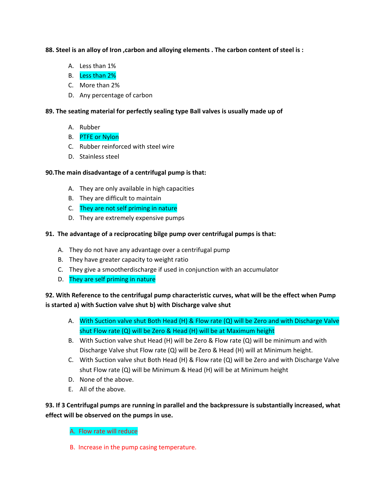## **88. Steel is an alloy of Iron ,carbon and alloying elements . The carbon content of steel is :**

- A. Less than 1%
- B. Less than 2%
- C. More than 2%
- D. Any percentage of carbon

## **89. The seating material for perfectly sealing type Ball valves is usually made up of**

- A. Rubber
- B. PTFE or Nylon
- C. Rubber reinforced with steel wire
- D. Stainless steel

## **90.The main disadvantage of a centrifugal pump is that:**

- A. They are only available in high capacities
- B. They are difficult to maintain
- C. They are not self priming in nature
- D. They are extremely expensive pumps

## **91. The advantage of a reciprocating bilge pump over centrifugal pumps is that:**

- A. They do not have any advantage over a centrifugal pump
- B. They have greater capacity to weight ratio
- C. They give a smootherdischarge if used in conjunction with an accumulator
- D. They are self priming in nature

# **92. With Reference to the centrifugal pump characteristic curves, what will be the effect when Pump is started a) with Suction valve shut b) with Discharge valve shut**

- A. With Suction valve shut Both Head (H) & Flow rate (Q) will be Zero and with Discharge Valve shut Flow rate (Q) will be Zero & Head (H) will be at Maximum height
- B. With Suction valve shut Head (H) will be Zero & Flow rate (Q) will be minimum and with Discharge Valve shut Flow rate (Q) will be Zero & Head (H) will at Minimum height.
- C. With Suction valve shut Both Head (H) & Flow rate (Q) will be Zero and with Discharge Valve shut Flow rate (Q) will be Minimum & Head (H) will be at Minimum height
- D. None of the above.
- E. All of the above.

# **93. If 3 Centrifugal pumps are running in parallel and the backpressure is substantially increased, what effect will be observed on the pumps in use.**

A. Flow rate will reduce

B. Increase in the pump casing temperature.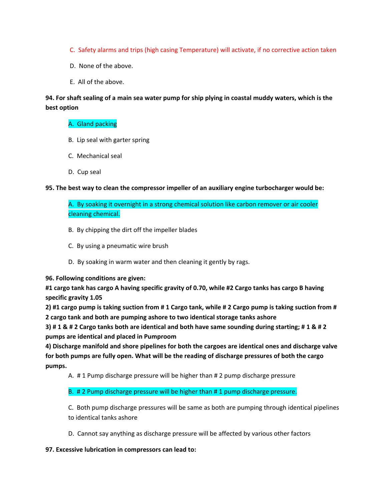- C. Safety alarms and trips (high casing Temperature) will activate, if no corrective action taken
- D. None of the above.
- E. All of the above.

# **94. For shaft sealing of a main sea water pump for ship plying in coastal muddy waters, which is the best option**

## A. Gland packing

- B. Lip seal with garter spring
- C. Mechanical seal
- D. Cup seal

## **95. The best way to clean the compressor impeller of an auxiliary engine turbocharger would be:**

A. By soaking it overnight in a strong chemical solution like carbon remover or air cooler cleaning chemical.

- B. By chipping the dirt off the impeller blades
- C. By using a pneumatic wire brush
- D. By soaking in warm water and then cleaning it gently by rags.

**96. Following conditions are given:**

**#1 cargo tank has cargo A having specific gravity of 0.70, while #2 Cargo tanks has cargo B having specific gravity 1.05** 

**2) #1 cargo pump is taking suction from # 1 Cargo tank, while # 2 Cargo pump is taking suction from # 2 cargo tank and both are pumping ashore to two identical storage tanks ashore**

**3) # 1 & # 2 Cargo tanks both are identical and both have same sounding during starting; # 1 & # 2 pumps are identical and placed in Pumproom**

**4) Discharge manifold and shore pipelines for both the cargoes are identical ones and discharge valve for both pumps are fully open. What will be the reading of discharge pressures of both the cargo pumps.**

A. # 1 Pump discharge pressure will be higher than # 2 pump discharge pressure

### B. # 2 Pump discharge pressure will be higher than # 1 pump discharge pressure.

C. Both pump discharge pressures will be same as both are pumping through identical pipelines to identical tanks ashore

D. Cannot say anything as discharge pressure will be affected by various other factors

### **97. Excessive lubrication in compressors can lead to:**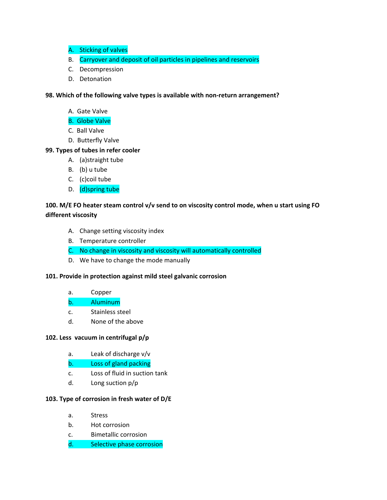- A. Sticking of valves
- B. Carryover and deposit of oil particles in pipelines and reservoirs
- C. Decompression
- D. Detonation

**98. Which of the following valve types is available with non-return arrangement?** 

- A. Gate Valve
- B. Globe Valve
- C. Ball Valve
- D. Butterfly Valve

### **99. Types of tubes in refer cooler**

- A. (a)straight tube
- B. (b) u tube
- C. (c)coil tube
- D. (d)spring tube

# **100. M/E FO heater steam control v/v send to on viscosity control mode, when u start using FO different viscosity**

- A. Change setting viscosity index
- B. Temperature controller
- C. No change in viscosity and viscosity will automatically controlled
- D. We have to change the mode manually

### **101. Provide in protection against mild steel galvanic corrosion**

- a. Copper
- b. Aluminum
- c. Stainless steel
- d. None of the above

### **102. Less vacuum in centrifugal p/p**

- a. Leak of discharge v/v
- b. Loss of gland packing
- c. Loss of fluid in suction tank
- d. Long suction p/p

## **103. Type of corrosion in fresh water of D/E**

- a. Stress
- b. Hot corrosion
- c. Bimetallic corrosion
- d. Selective phase corrosion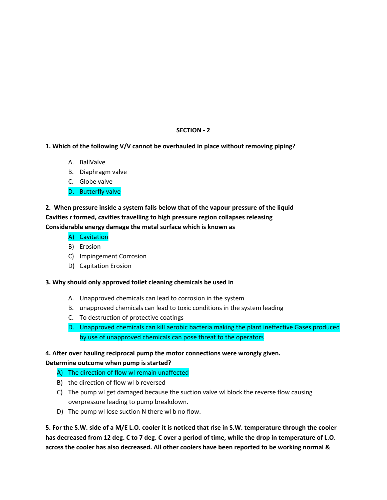# **SECTION - 2**

## **1. Which of the following V/V cannot be overhauled in place without removing piping?**

- A. BallValve
- B. Diaphragm valve
- C. Globe valve
- D. Butterfly valve

# **2. When pressure inside a system falls below that of the vapour pressure of the liquid Cavities r formed, cavities travelling to high pressure region collapses releasing Considerable energy damage the metal surface which is known as**

- A) Cavitation
- B) Erosion
- C) Impingement Corrosion
- D) Capitation Erosion

### **3. Why should only approved toilet cleaning chemicals be used in**

- A. Unapproved chemicals can lead to corrosion in the system
- B. unapproved chemicals can lead to toxic conditions in the system leading
- C. To destruction of protective coatings
- D. Unapproved chemicals can kill aerobic bacteria making the plant ineffective Gases produced by use of unapproved chemicals can pose threat to the operators

# **4. After over hauling reciprocal pump the motor connections were wrongly given. Determine outcome when pump is started?**

- A) The direction of flow wl remain unaffected
- B) the direction of flow wl b reversed
- C) The pump wl get damaged because the suction valve wl block the reverse flow causing overpressure leading to pump breakdown.
- D) The pump wl lose suction N there wl b no flow.

**5. For the S.W. side of a M/E L.O. cooler it is noticed that rise in S.W. temperature through the cooler has decreased from 12 deg. C to 7 deg. C over a period of time, while the drop in temperature of L.O. across the cooler has also decreased. All other coolers have been reported to be working normal &**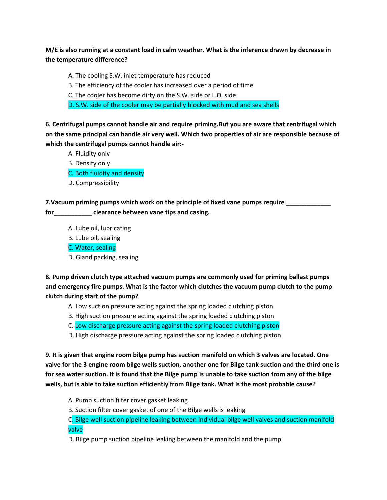**M/E is also running at a constant load in calm weather. What is the inference drawn by decrease in the temperature difference?**

A. The cooling S.W. inlet temperature has reduced

- B. The efficiency of the cooler has increased over a period of time
- C. The cooler has become dirty on the S.W. side or L.O. side
- D. S.W. side of the cooler may be partially blocked with mud and sea shells

**6. Centrifugal pumps cannot handle air and require priming.But you are aware that centrifugal which on the same principal can handle air very well. Which two properties of air are responsible because of which the centrifugal pumps cannot handle air:-**

- A. Fluidity only
- B. Density only
- C. Both fluidity and density
- D. Compressibility

**7.Vacuum priming pumps which work on the principle of fixed vane pumps require \_\_\_\_\_\_\_\_\_\_\_\_\_** 

**for\_\_\_\_\_\_\_\_\_\_\_ clearance between vane tips and casing.** 

- A. Lube oil, lubricating
- B. Lube oil, sealing

C. Water, sealing

D. Gland packing, sealing

**8. Pump driven clutch type attached vacuum pumps are commonly used for priming ballast pumps and emergency fire pumps. What is the factor which clutches the vacuum pump clutch to the pump clutch during start of the pump?**

- A. Low suction pressure acting against the spring loaded clutching piston
- B. High suction pressure acting against the spring loaded clutching piston
- C. Low discharge pressure acting against the spring loaded clutching piston
- D. High discharge pressure acting against the spring loaded clutching piston

**9. It is given that engine room bilge pump has suction manifold on which 3 valves are located. One valve for the 3 engine room bilge wells suction, another one for Bilge tank suction and the third one is for sea water suction. It is found that the Bilge pump is unable to take suction from any of the bilge wells, but is able to take suction efficiently from Bilge tank. What is the most probable cause?**

- A. Pump suction filter cover gasket leaking
- B. Suction filter cover gasket of one of the Bilge wells is leaking

C. Bilge well suction pipeline leaking between individual bilge well valves and suction manifold valve

D. Bilge pump suction pipeline leaking between the manifold and the pump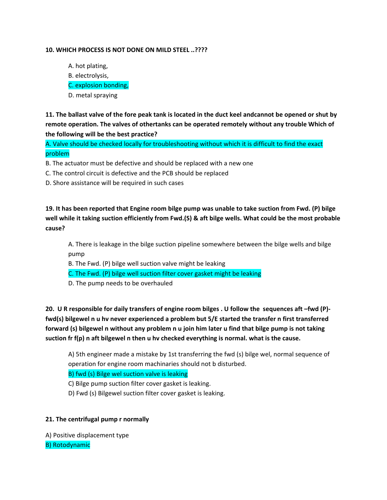### **10. WHICH PROCESS IS NOT DONE ON MILD STEEL ..????**

A. hot plating, B. electrolysis, C. explosion bonding, D. metal spraying

**11. The ballast valve of the fore peak tank is located in the duct keel andcannot be opened or shut by remote operation. The valves of othertanks can be operated remotely without any trouble Which of the following will be the best practice?**

A. Valve should be checked locally for troubleshooting without which it is difficult to find the exact problem

- B. The actuator must be defective and should be replaced with a new one
- C. The control circuit is defective and the PCB should be replaced
- D. Shore assistance will be required in such cases

**19. It has been reported that Engine room bilge pump was unable to take suction from Fwd. (P) bilge well while it taking suction efficiently from Fwd.(S) & aft bilge wells. What could be the most probable cause?**

A. There is leakage in the bilge suction pipeline somewhere between the bilge wells and bilge pump

- B. The Fwd. (P) bilge well suction valve might be leaking
- C. The Fwd. (P) bilge well suction filter cover gasket might be leaking
- D. The pump needs to be overhauled

**20. U R responsible for daily transfers of engine room bilges . U follow the sequences aft –fwd (P) fwd(s) bilgewel n u hv never experienced a problem but 5/E started the transfer n first transferred forward (s) bilgewel n without any problem n u join him later u find that bilge pump is not taking suction fr f(p) n aft bilgewel n then u hv checked everything is normal. what is the cause.**

A) 5th engineer made a mistake by 1st transferring the fwd (s) bilge wel, normal sequence of operation for engine room machinaries should not b disturbed.

B) fwd (s) Bilge wel suction valve is leaking

C) Bilge pump suction filter cover gasket is leaking.

D) Fwd (s) Bilgewel suction filter cover gasket is leaking.

#### **21. The centrifugal pump r normally**

A) Positive displacement type B) Rotodynamic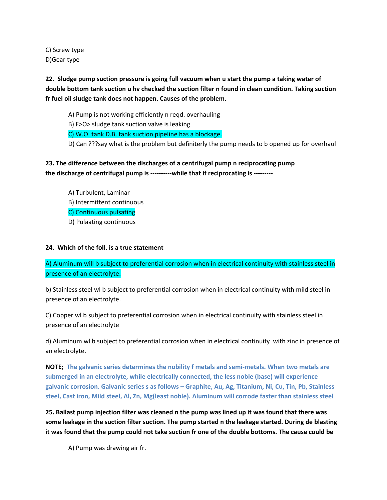C) Screw type D)Gear type

**22. Sludge pump suction pressure is going full vacuum when u start the pump a taking water of double bottom tank suction u hv checked the suction filter n found in clean condition. Taking suction fr fuel oil sludge tank does not happen. Causes of the problem.**

A) Pump is not working efficiently n reqd. overhauling

B) F>O> sludge tank suction valve is leaking

C) W.O. tank D.B. tank suction pipeline has a blockage.

D) Can ???say what is the problem but definiterly the pump needs to b opened up for overhaul

**23. The difference between the discharges of a centrifugal pump n reciprocating pump the discharge of centrifugal pump is ----------while that if reciprocating is ---------**

A) Turbulent, Laminar B) Intermittent continuous C) Continuous pulsating D) Pulaating continuous

## **24. Which of the foll. is a true statement**

A) Aluminum will b subject to preferential corrosion when in electrical continuity with stainless steel in presence of an electrolyte.

b) Stainless steel wl b subject to preferential corrosion when in electrical continuity with mild steel in presence of an electrolyte.

C) Copper wl b subject to preferential corrosion when in electrical continuity with stainless steel in presence of an electrolyte

d) Aluminum wl b subject to preferential corrosion when in electrical continuity with zinc in presence of an electrolyte.

**NOTE; The galvanic series determines the nobility f metals and semi-metals. When two metals are submerged in an electrolyte, while electrically connected, the less noble (base) will experience galvanic corrosion. Galvanic series s as follows – Graphite, Au, Ag, Titanium, Ni, Cu, Tin, Pb, Stainless steel, Cast iron, Mild steel, Al, Zn, Mg(least noble). Aluminum will corrode faster than stainless steel**

**25. Ballast pump injection filter was cleaned n the pump was lined up it was found that there was some leakage in the suction filter suction. The pump started n the leakage started. During de blasting it was found that the pump could not take suction fr one of the double bottoms. The cause could be**

A) Pump was drawing air fr.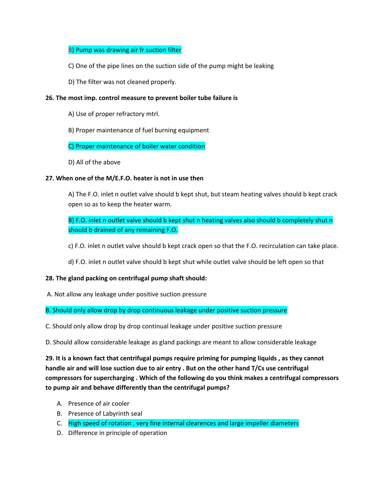## B) Pump was drawing air fr suction filter

- C) One of the pipe lines on the suction side of the pump might be leaking
- D) The filter was not cleaned properly.

### **26. The most imp. control measure to prevent boiler tube failure is**

- A) Use of proper refractory mtrl.
- B) Proper maintenance of fuel burning equipment

## C) Proper maintenance of boiler water condition

D) All of the above

## **27. When one of the M/E.F.O. heater is not in use then**

A) The F.O. inlet n outlet valve should b kept shut, but steam heating valves should b kept crack open so as to keep the heater warm.

B) F.O. inlet n outlet valve should b kept shut n heating valves also should b completely shut n should b drained of any remaining F.O.

- c) F.O. inlet n outlet valve should b kept crack open so that the F.O. recirculation can take place.
- d) F.O. inlet n outlet valve should b kept shut while outlet valve should be left open so that

# **28. The gland packing on centrifugal pump shaft should:**

A. Not allow any leakage under positive suction pressure

B. Should only allow drop by drop continuous leakage under positive suction pressure

C. Should only allow drop by drop continual leakage under positive suction pressure

D. Should allow considerable leakage as gland packings are meant to allow considerable leakage

**29. It is a known fact that centrifugal pumps require priming for pumping liquids , as they cannot handle air and will lose suction due to air entry . But on the other hand T/Cs use centrifugal compressors for supercharging . Which of the following do you think makes a centrifugal compressors to pump air and behave differently than the centrifugal pumps?**

- A. Presence of air cooler
- B. Presence of Labyrinth seal
- C. High speed of rotation , very fine internal clearences and large impeller diameters
- D. Difference in principle of operation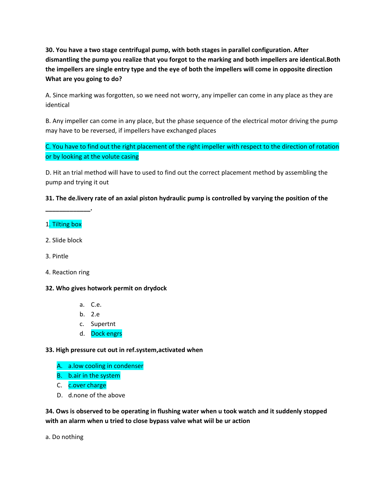**30. You have a two stage centrifugal pump, with both stages in parallel configuration. After dismantling the pump you realize that you forgot to the marking and both impellers are identical.Both the impellers are single entry type and the eye of both the impellers will come in opposite direction What are you going to do?** 

A. Since marking was forgotten, so we need not worry, any impeller can come in any place as they are identical

B. Any impeller can come in any place, but the phase sequence of the electrical motor driving the pump may have to be reversed, if impellers have exchanged places

C. You have to find out the right placement of the right impeller with respect to the direction of rotation or by looking at the volute casing

D. Hit an trial method will have to used to find out the correct placement method by assembling the pump and trying it out

**31. The de.livery rate of an axial piston hydraulic pump is controlled by varying the position of the** 

# 1. Tilting box

**\_\_\_\_\_\_\_\_\_\_\_\_\_.**

- 2. Slide block
- 3. Pintle
- 4. Reaction ring

### **32. Who gives hotwork permit on drydock**

- a. C.e.
- b. 2.e
- c. Supertnt
- d. Dock engrs

### **33. High pressure cut out in ref.system,activated when**

- A. a.low cooling in condenser
- B. b.air in the system
- C. c.over charge
- D. d.none of the above

**34. Ows is observed to be operating in flushing water when u took watch and it suddenly stopped with an alarm when u tried to close bypass valve what wiil be ur action**

a. Do nothing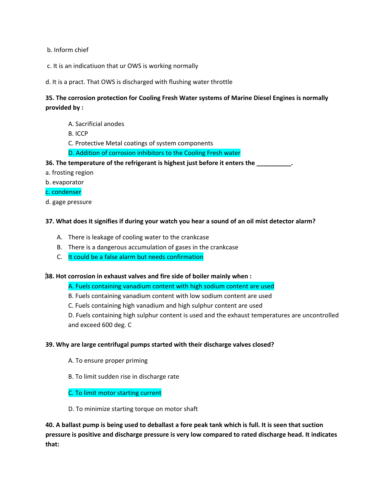b. Inform chief

- c. It is an indicatiuon that ur OWS is working normally
- d. It is a pract. That OWS is discharged with flushing water throttle

# **35. The corrosion protection for Cooling Fresh Water systems of Marine Diesel Engines is normally provided by :**

- A. Sacrificial anodes
- B. ICCP
- C. Protective Metal coatings of system components
- D. Addition of corrosion inhibitors to the Cooling Fresh water

### **36. The temperature of the refrigerant is highest just before it enters the \_\_\_\_\_\_\_\_\_\_.**

- a. frosting region
- b. evaporator
- c. condenser
- d. gage pressure

#### **37. What does it signifies if during your watch you hear a sound of an oil mist detector alarm?**

- A. There is leakage of cooling water to the crankcase
- B. There is a dangerous accumulation of gases in the crankcase
- C. It could be a false alarm but needs confirmation

#### **38. Hot corrosion in exhaust valves and fire side of boiler mainly when :**

A. Fuels containing vanadium content with high sodium content are used

- B. Fuels containing vanadium content with low sodium content are used
- C. Fuels containing high vanadium and high sulphur content are used

D. Fuels containing high sulphur content is used and the exhaust temperatures are uncontrolled and exceed 600 deg. C

#### **39. Why are large centrifugal pumps started with their discharge valves closed?**

- A. To ensure proper priming
- B. To limit sudden rise in discharge rate

## C. To limit motor starting current

D. To minimize starting torque on motor shaft

**40. A ballast pump is being used to deballast a fore peak tank which is full. It is seen that suction pressure is positive and discharge pressure is very low compared to rated discharge head. It indicates that:**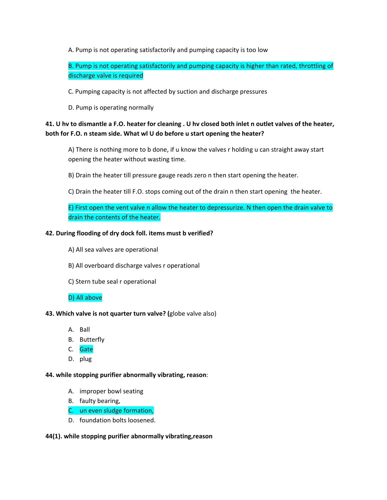A. Pump is not operating satisfactorily and pumping capacity is too low

B. Pump is not operating satisfactorily and pumping capacity is higher than rated, throttling of discharge valve is required

C. Pumping capacity is not affected by suction and discharge pressures

D. Pump is operating normally

# **41. U hv to dismantle a F.O. heater for cleaning . U hv closed both inlet n outlet valves of the heater, both for F.O. n steam side. What wl U do before u start opening the heater?**

A) There is nothing more to b done, if u know the valves r holding u can straight away start opening the heater without wasting time.

- B) Drain the heater till pressure gauge reads zero n then start opening the heater.
- C) Drain the heater till F.O. stops coming out of the drain n then start opening the heater.

E) First open the vent valve n allow the heater to depressurize. N then open the drain valve to drain the contents of the heater.

## **42. During flooding of dry dock foll. items must b verified?**

- A) All sea valves are operational
- B) All overboard discharge valves r operational
- C) Stern tube seal r operational

# D) All above

### **43. Which valve is not quarter turn valve? (**globe valve also)

- A. Ball
- B. Butterfly
- C. Gate
- D. plug

### **44. while stopping purifier abnormally vibrating, reason**:

- A. improper bowl seating
- B. faulty bearing,
- C. un even sludge formation,
- D. foundation bolts loosened.

### **44(1). while stopping purifier abnormally vibrating,reason**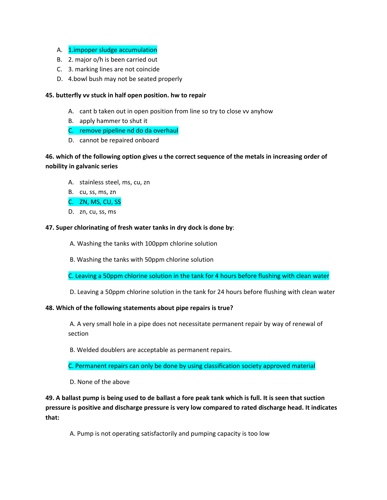- A. 1.impoper sludge accumulation
- B. 2. major o/h is been carried out
- C. 3. marking lines are not coincide
- D. 4.bowl bush may not be seated properly

## **45. butterfly vv stuck in half open position. hw to repair**

- A. cant b taken out in open position from line so try to close vv anyhow
- B. apply hammer to shut it
- C. remove pipeline nd do da overhaul
- D. cannot be repaired onboard

# **46. which of the following option gives u the correct sequence of the metals in increasing order of nobility in galvanic series**

- A. stainless steel, ms, cu, zn
- B. cu, ss, ms, zn

## C. ZN, MS, CU, SS

D. zn, cu, ss, ms

## **47. Super chlorinating of fresh water tanks in dry dock is done by**:

- A. Washing the tanks with 100ppm chlorine solution
- B. Washing the tanks with 50ppm chlorine solution

C. Leaving a 50ppm chlorine solution in the tank for 4 hours before flushing with clean water

D. Leaving a 50ppm chlorine solution in the tank for 24 hours before flushing with clean water

### **48. Which of the following statements about pipe repairs is true?**

A. A very small hole in a pipe does not necessitate permanent repair by way of renewal of section

B. Welded doublers are acceptable as permanent repairs.

C. Permanent repairs can only be done by using classification society approved material

D. None of the above

**49. A ballast pump is being used to de ballast a fore peak tank which is full. It is seen that suction pressure is positive and discharge pressure is very low compared to rated discharge head. It indicates that:** 

A. Pump is not operating satisfactorily and pumping capacity is too low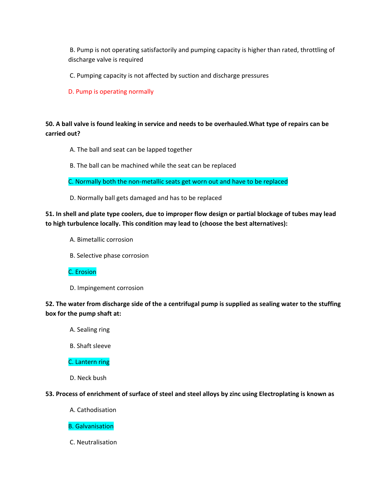B. Pump is not operating satisfactorily and pumping capacity is higher than rated, throttling of discharge valve is required

C. Pumping capacity is not affected by suction and discharge pressures

D. Pump is operating normally

# **50. A ball valve is found leaking in service and needs to be overhauled.What type of repairs can be carried out?**

- A. The ball and seat can be lapped together
- B. The ball can be machined while the seat can be replaced

C. Normally both the non-metallic seats get worn out and have to be replaced

D. Normally ball gets damaged and has to be replaced

**51. In shell and plate type coolers, due to improper flow design or partial blockage of tubes may lead to high turbulence locally. This condition may lead to (choose the best alternatives):** 

- A. Bimetallic corrosion
- B. Selective phase corrosion

# C. Erosion

D. Impingement corrosion

# **52. The water from discharge side of the a centrifugal pump is supplied as sealing water to the stuffing box for the pump shaft at:**

- A. Sealing ring
- B. Shaft sleeve

### C. Lantern ring

D. Neck bush

### **53. Process of enrichment of surface of steel and steel alloys by zinc using Electroplating is known as**

A. Cathodisation

### B. Galvanisation

C. Neutralisation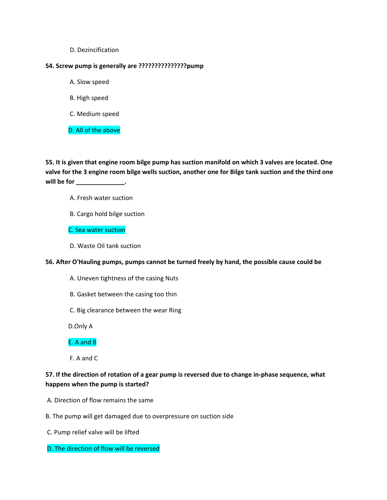D. Dezincification

### **54. Screw pump is generally are ???????????????pump**

- A. Slow speed
- B. High speed
- C. Medium speed

D. All of the above

**55. It is given that engine room bilge pump has suction manifold on which 3 valves are located. One valve for the 3 engine room bilge wells suction, another one for Bilge tank suction and the third one will be for \_\_\_\_\_\_\_\_\_\_\_\_\_\_.** 

- A. Fresh water suction
- B. Cargo hold bilge suction

C. Sea water suction

D. Waste Oil tank suction

#### **56. After O'Hauling pumps, pumps cannot be turned freely by hand, the possible cause could be**

- A. Uneven tightness of the casing Nuts
- B. Gasket between the casing too thin
- C. Big clearance between the wear Ring

D.Only A

### E. A and B

F. A and C

# **57. If the direction of rotation of a gear pump is reversed due to change in-phase sequence, what happens when the pump is started?**

- A. Direction of flow remains the same
- B. The pump will get damaged due to overpressure on suction side
- C. Pump relief valve will be lifted

### D. The direction of flow will be reversed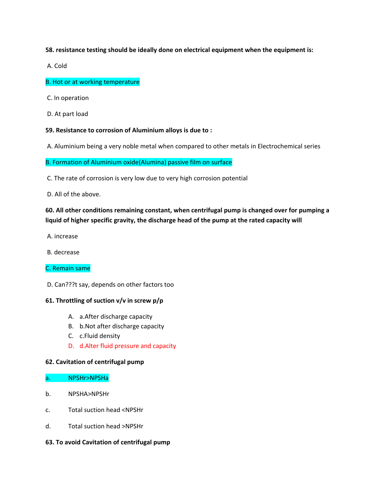**58. resistance testing should be ideally done on electrical equipment when the equipment is:** 

A. Cold

B. Hot or at working temperature

- C. In operation
- D. At part load

### **59. Resistance to corrosion of Aluminium alloys is due to :**

A. Aluminium being a very noble metal when compared to other metals in Electrochemical series

B. Formation of Aluminium oxide(Alumina) passive film on surface

C. The rate of corrosion is very low due to very high corrosion potential

D. All of the above.

# **60. All other conditions remaining constant, when centrifugal pump is changed over for pumping a liquid of higher specific gravity, the discharge head of the pump at the rated capacity will**

- A. increase
- B. decrease

### C. Remain same

D. Can???t say, depends on other factors too

### **61. Throttling of suction v/v in screw p/p**

- A. a.After discharge capacity
- B. b.Not after discharge capacity
- C. c.Fluid density
- D. d.Alter fluid pressure and capacity

#### **62. Cavitation of centrifugal pump**

#### a. NPSHr>NPSHa

- b. NPSHA>NPSHr
- c. Total suction head <NPSHr
- d. Total suction head >NPSHr

#### **63. To avoid Cavitation of centrifugal pump**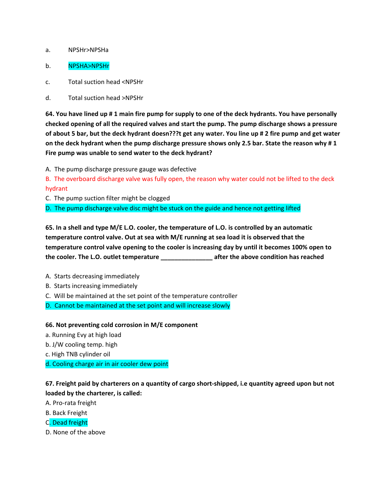### a. NPSHr>NPSHa

### b. NPSHA>NPSHr

c. Total suction head <NPSHr

d. Total suction head >NPSHr

**64. You have lined up # 1 main fire pump for supply to one of the deck hydrants. You have personally checked opening of all the required valves and start the pump. The pump discharge shows a pressure of about 5 bar, but the deck hydrant doesn???t get any water. You line up # 2 fire pump and get water on the deck hydrant when the pump discharge pressure shows only 2.5 bar. State the reason why # 1 Fire pump was unable to send water to the deck hydrant?** 

A. The pump discharge pressure gauge was defective

B. The overboard discharge valve was fully open, the reason why water could not be lifted to the deck hydrant

C. The pump suction filter might be clogged

D. The pump discharge valve disc might be stuck on the guide and hence not getting lifted

**65. In a shell and type M/E L.O. cooler, the temperature of L.O. is controlled by an automatic temperature control valve. Out at sea with M/E running at sea load it is observed that the temperature control valve opening to the cooler is increasing day by until it becomes 100% open to the cooler. The L.O. outlet temperature \_\_\_\_\_\_\_\_\_\_\_\_\_\_\_ after the above condition has reached** 

A. Starts decreasing immediately

B. Starts increasing immediately

C. Will be maintained at the set point of the temperature controller

D. Cannot be maintained at the set point and will increase slowly

**66. Not preventing cold corrosion in M/E component**

a. Running Evy at high load

b. J/W cooling temp. high

c. High TNB cylinder oil

d. Cooling charge air in air cooler dew point

**67. Freight paid by charterers on a quantity of cargo short-shipped, i.e quantity agreed upon but not loaded by the charterer, is called:**

A. Pro-rata freight

B. Back Freight

C. Dead freight

D. None of the above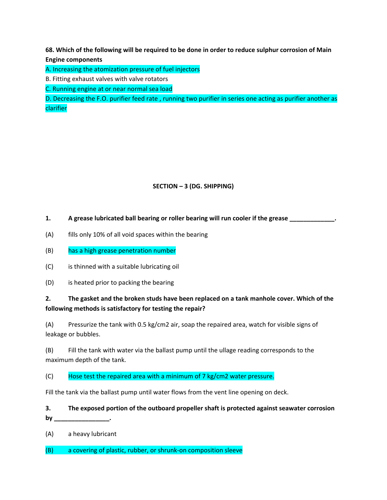**68. Which of the following will be required to be done in order to reduce sulphur corrosion of Main Engine components**

A. Increasing the atomization pressure of fuel injectors

B. Fitting exhaust valves with valve rotators

C. Running engine at or near normal sea load

D. Decreasing the F.O. purifier feed rate , running two purifier in series one acting as purifier another as clarifier

# **SECTION – 3 (DG. SHIPPING)**

**1. A grease lubricated ball bearing or roller bearing will run cooler if the grease \_\_\_\_\_\_\_\_\_\_\_\_\_.**

- (A) fills only 10% of all void spaces within the bearing
- (B) has a high grease penetration number
- (C) is thinned with a suitable lubricating oil
- (D) is heated prior to packing the bearing

# **2. The gasket and the broken studs have been replaced on a tank manhole cover. Which of the following methods is satisfactory for testing the repair?**

(A) Pressurize the tank with 0.5 kg/cm2 air, soap the repaired area, watch for visible signs of leakage or bubbles.

(B) Fill the tank with water via the ballast pump until the ullage reading corresponds to the maximum depth of the tank.

(C) Hose test the repaired area with a minimum of  $7 \text{ kg/cm2 water pressure}$ .

Fill the tank via the ballast pump until water flows from the vent line opening on deck.

**3. The exposed portion of the outboard propeller shaft is protected against seawater corrosion by \_\_\_\_\_\_\_\_\_\_\_\_\_\_\_\_.**

(A) a heavy lubricant

(B) a covering of plastic, rubber, or shrunk-on composition sleeve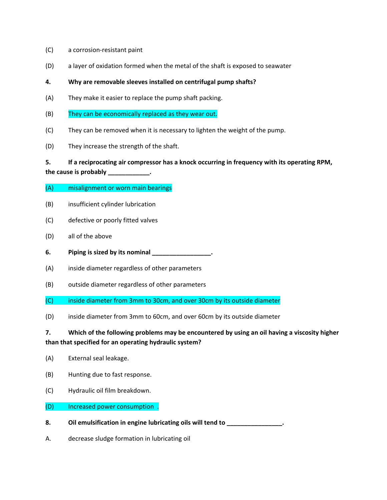- (C) a corrosion-resistant paint
- (D) a layer of oxidation formed when the metal of the shaft is exposed to seawater

### **4. Why are removable sleeves installed on centrifugal pump shafts?**

- (A) They make it easier to replace the pump shaft packing.
- (B) They can be economically replaced as they wear out.
- (C) They can be removed when it is necessary to lighten the weight of the pump.
- (D) They increase the strength of the shaft.

# **5. If a reciprocating air compressor has a knock occurring in frequency with its operating RPM,**

**the cause is probably \_\_\_\_\_\_\_\_\_\_\_\_.**

- (A) misalignment or worn main bearings
- (B) insufficient cylinder lubrication
- (C) defective or poorly fitted valves
- (D) all of the above
- **6. Piping is sized by its nominal \_\_\_\_\_\_\_\_\_\_\_\_\_\_\_\_\_.**
- (A) inside diameter regardless of other parameters
- (B) outside diameter regardless of other parameters
- (C) inside diameter from 3mm to 30cm, and over 30cm by its outside diameter
- (D) inside diameter from 3mm to 60cm, and over 60cm by its outside diameter

# **7. Which of the following problems may be encountered by using an oil having a viscosity higher than that specified for an operating hydraulic system?**

- (A) External seal leakage.
- (B) Hunting due to fast response.
- (C) Hydraulic oil film breakdown.
- (D) Increased power consumption .
- **8. Oil emulsification in engine lubricating oils will tend to \_\_\_\_\_\_\_\_\_\_\_\_\_\_\_\_.**
- A. decrease sludge formation in lubricating oil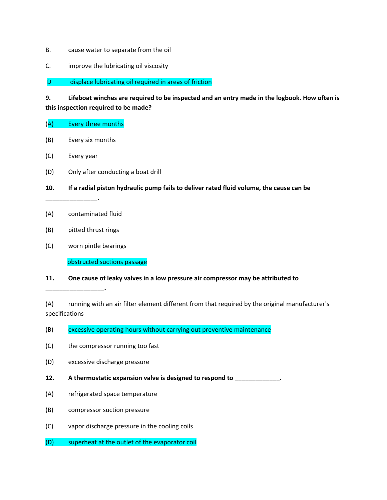- B. cause water to separate from the oil
- C. improve the lubricating oil viscosity

D displace lubricating oil required in areas of friction

**9. Lifeboat winches are required to be inspected and an entry made in the logbook. How often is this inspection required to be made?**

- (A) Every three months
- (B) Every six months
- (C) Every year

**\_\_\_\_\_\_\_\_\_\_\_\_\_\_\_.**

- (D) Only after conducting a boat drill
- **10. If a radial piston hydraulic pump fails to deliver rated fluid volume, the cause can be**
- (A) contaminated fluid
- (B) pitted thrust rings

**\_\_\_\_\_\_\_\_\_\_\_\_\_\_\_\_\_.**

(C) worn pintle bearings

obstructed suctions passage

# **11. One cause of leaky valves in a low pressure air compressor may be attributed to**

(A) running with an air filter element different from that required by the original manufacturer's specifications

- (B) excessive operating hours without carrying out preventive maintenance
- (C) the compressor running too fast
- (D) excessive discharge pressure
- **12. A thermostatic expansion valve is designed to respond to \_\_\_\_\_\_\_\_\_\_\_\_\_.**
- (A) refrigerated space temperature
- (B) compressor suction pressure
- (C) vapor discharge pressure in the cooling coils
- (D) superheat at the outlet of the evaporator coil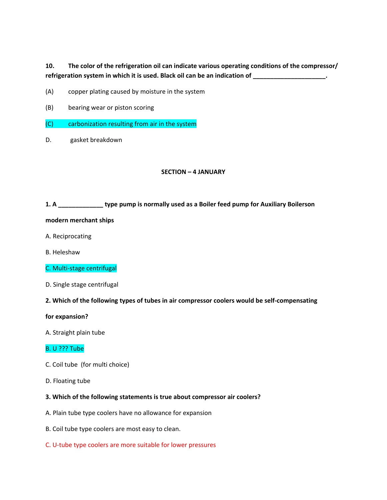# **10. The color of the refrigeration oil can indicate various operating conditions of the compressor/ refrigeration system in which it is used. Black oil can be an indication of \_\_\_\_\_\_\_\_\_\_\_\_\_\_\_\_\_\_\_\_\_.**

- (A) copper plating caused by moisture in the system
- (B) bearing wear or piston scoring
- (C) carbonization resulting from air in the system
- D. gasket breakdown

#### **SECTION – 4 JANUARY**

#### **1. A \_\_\_\_\_\_\_\_\_\_\_\_\_ type pump is normally used as a Boiler feed pump for Auxiliary Boilerson**

#### **modern merchant ships**

- A. Reciprocating
- B. Heleshaw
- C. Multi-stage centrifugal
- D. Single stage centrifugal
- **2. Which of the following types of tubes in air compressor coolers would be self-compensating**

#### **for expansion?**

A. Straight plain tube

### B. U ??? Tube

- C. Coil tube (for multi choice)
- D. Floating tube

#### **3. Which of the following statements is true about compressor air coolers?**

- A. Plain tube type coolers have no allowance for expansion
- B. Coil tube type coolers are most easy to clean.
- C. U-tube type coolers are more suitable for lower pressures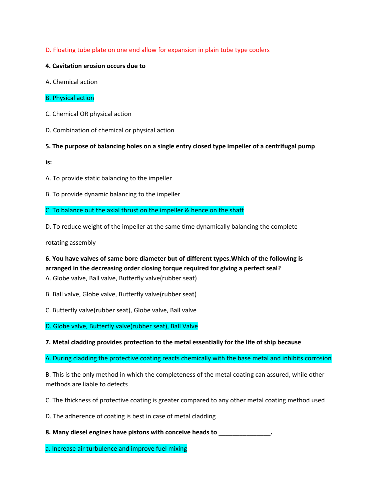D. Floating tube plate on one end allow for expansion in plain tube type coolers

## **4. Cavitation erosion occurs due to**

- A. Chemical action
- B. Physical action
- C. Chemical OR physical action
- D. Combination of chemical or physical action

## **5. The purpose of balancing holes on a single entry closed type impeller of a centrifugal pump**

**is:**

- A. To provide static balancing to the impeller
- B. To provide dynamic balancing to the impeller

C. To balance out the axial thrust on the impeller & hence on the shaft

D. To reduce weight of the impeller at the same time dynamically balancing the complete

rotating assembly

**6. You have valves of same bore diameter but of different types.Which of the following is arranged in the decreasing order closing torque required for giving a perfect seal?** A. Globe valve, Ball valve, Butterfly valve(rubber seat)

B. Ball valve, Globe valve, Butterfly valve(rubber seat)

C. Butterfly valve(rubber seat), Globe valve, Ball valve

D. Globe valve, Butterfly valve(rubber seat), Ball Valve

**7. Metal cladding provides protection to the metal essentially for the life of ship because**

A. During cladding the protective coating reacts chemically with the base metal and inhibits corrosion

B. This is the only method in which the completeness of the metal coating can assured, while other methods are liable to defects

C. The thickness of protective coating is greater compared to any other metal coating method used

D. The adherence of coating is best in case of metal cladding

**8. Many diesel engines have pistons with conceive heads to \_\_\_\_\_\_\_\_\_\_\_\_\_\_\_.**

a. Increase air turbulence and improve fuel mixing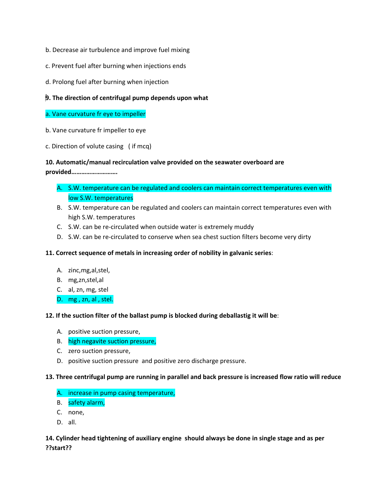- b. Decrease air turbulence and improve fuel mixing
- c. Prevent fuel after burning when injections ends
- d. Prolong fuel after burning when injection

## **9. The direction of centrifugal pump depends upon what**

- a. Vane curvature fr eye to impeller
- b. Vane curvature fr impeller to eye
- c. Direction of volute casing ( if mcq)

### **10. Automatic/manual recirculation valve provided on the seawater overboard are**

**provided……………………….**

- A. S.W. temperature can be regulated and coolers can maintain correct temperatures even with low S.W. temperatures
- B. S.W. temperature can be regulated and coolers can maintain correct temperatures even with high S.W. temperatures
- C. S.W. can be re-circulated when outside water is extremely muddy
- D. S.W. can be re-circulated to conserve when sea chest suction filters become very dirty

### **11. Correct sequence of metals in increasing order of nobility in galvanic series**:

- A. zinc,mg,al,stel,
- B. mg,zn,stel,al
- C. al, zn, mg, stel
- D. mg , zn, al , stel.

### **12. If the suction filter of the ballast pump is blocked during deballastig it will be**:

- A. positive suction pressure,
- B. high negavite suction pressure,
- C. zero suction pressure,
- D. positive suction pressure and positive zero discharge pressure.

#### **13. Three centrifugal pump are running in parallel and back pressure is increased flow ratio will reduce**

- A. increase in pump casing temperature,
- B. safety alarm,
- C. none,
- D. all.

# **14. Cylinder head tightening of auxiliary engine should always be done in single stage and as per ??start??**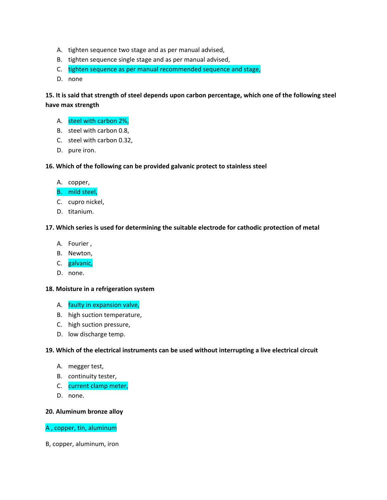- A. tighten sequence two stage and as per manual advised,
- B. tighten sequence single stage and as per manual advised,
- C. tighten sequence as per manual recommended sequence and stage,
- D. none

**15. It is said that strength of steel depends upon carbon percentage, which one of the following steel have max strength** 

- A. steel with carbon 2%,
- B. steel with carbon 0.8,
- C. steel with carbon 0.32,
- D. pure iron.

### **16. Which of the following can be provided galvanic protect to stainless steel**

- A. copper,
- B. mild steel,
- C. cupro nickel,
- D. titanium.

### **17. Which series is used for determining the suitable electrode for cathodic protection of metal**

- A. Fourier ,
- B. Newton,
- C. galvanic,
- D. none.

#### **18. Moisture in a refrigeration system**

- A. faulty in expansion valve,
- B. high suction temperature,
- C. high suction pressure,
- D. low discharge temp.

### **19. Which of the electrical instruments can be used without interrupting a live electrical circuit**

- A. megger test,
- B. continuity tester,
- C. current clamp meter,
- D. none.

#### **20. Aluminum bronze alloy**

### A , copper, tin, aluminum

B, copper, aluminum, iron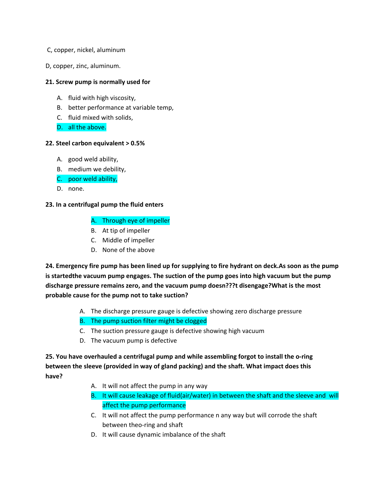- C, copper, nickel, aluminum
- D, copper, zinc, aluminum.

### **21. Screw pump is normally used for**

- A. fluid with high viscosity,
- B. better performance at variable temp,
- C. fluid mixed with solids,
- D. all the above.

#### **22. Steel carbon equivalent > 0.5%**

- A. good weld ability,
- B. medium we debility,
- C. poor weld ability,
- D. none.

### **23. In a centrifugal pump the fluid enters**

- A. Through eye of impeller
- B. At tip of impeller
- C. Middle of impeller
- D. None of the above

**24. Emergency fire pump has been lined up for supplying to fire hydrant on deck.As soon as the pump is startedthe vacuum pump engages. The suction of the pump goes into high vacuum but the pump discharge pressure remains zero, and the vacuum pump doesn???t disengage?What is the most probable cause for the pump not to take suction?** 

- A. The discharge pressure gauge is defective showing zero discharge pressure
- B. The pump suction filter might be clogged
- C. The suction pressure gauge is defective showing high vacuum
- D. The vacuum pump is defective

**25. You have overhauled a centrifugal pump and while assembling forgot to install the o-ring between the sleeve (provided in way of gland packing) and the shaft. What impact does this have?**

- A. It will not affect the pump in any way
- B. It will cause leakage of fluid(air/water) in between the shaft and the sleeve and will affect the pump performance
- C. It will not affect the pump performance n any way but will corrode the shaft between theo-ring and shaft
- D. It will cause dynamic imbalance of the shaft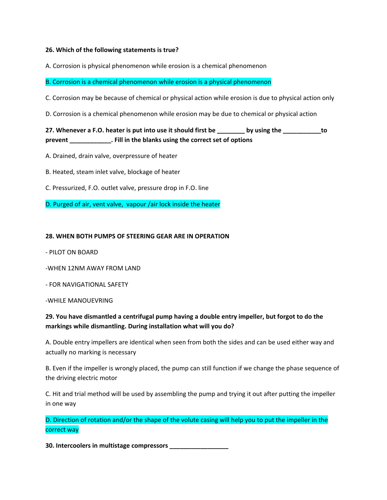### **26. Which of the following statements is true?**

A. Corrosion is physical phenomenon while erosion is a chemical phenomenon

B. Corrosion is a chemical phenomenon while erosion is a physical phenomenon

C. Corrosion may be because of chemical or physical action while erosion is due to physical action only

D. Corrosion is a chemical phenomenon while erosion may be due to chemical or physical action

**27. Whenever a F.O. heater is put into use it should first be \_\_\_\_\_\_\_\_ by using the \_\_\_\_\_\_\_\_\_\_\_to prevent \_\_\_\_\_\_\_\_\_\_\_\_. Fill in the blanks using the correct set of options** 

A. Drained, drain valve, overpressure of heater

B. Heated, steam inlet valve, blockage of heater

C. Pressurized, F.O. outlet valve, pressure drop in F.O. line

D. Purged of air, vent valve, vapour /air lock inside the heater

#### **28. WHEN BOTH PUMPS OF STEERING GEAR ARE IN OPERATION**

- PILOT ON BOARD

-WHEN 12NM AWAY FROM LAND

- FOR NAVIGATIONAL SAFETY

-WHILE MANOUEVRING

# **29. You have dismantled a centrifugal pump having a double entry impeller, but forgot to do the markings while dismantling. During installation what will you do?**

A. Double entry impellers are identical when seen from both the sides and can be used either way and actually no marking is necessary

B. Even if the impeller is wrongly placed, the pump can still function if we change the phase sequence of the driving electric motor

C. Hit and trial method will be used by assembling the pump and trying it out after putting the impeller in one way

D. Direction of rotation and/or the shape of the volute casing will help you to put the impeller in the correct way

**30. Intercoolers in multistage compressors \_\_\_\_\_\_\_\_\_\_\_\_\_\_\_\_\_**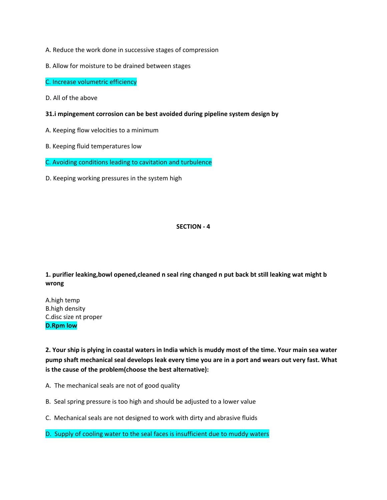- A. Reduce the work done in successive stages of compression
- B. Allow for moisture to be drained between stages
- C. Increase volumetric efficiency
- D. All of the above
- **31.i mpingement corrosion can be best avoided during pipeline system design by**
- A. Keeping flow velocities to a minimum
- B. Keeping fluid temperatures low
- C. Avoiding conditions leading to cavitation and turbulence
- D. Keeping working pressures in the system high

### **SECTION - 4**

**1. purifier leaking,bowl opened,cleaned n seal ring changed n put back bt still leaking wat might b wrong**

A.high temp B.high density C.disc size nt proper **D.Rpm low**

**2. Your ship is plying in coastal waters in India which is muddy most of the time. Your main sea water pump shaft mechanical seal develops leak every time you are in a port and wears out very fast. What is the cause of the problem(choose the best alternative):** 

- A. The mechanical seals are not of good quality
- B. Seal spring pressure is too high and should be adjusted to a lower value
- C. Mechanical seals are not designed to work with dirty and abrasive fluids
- D. Supply of cooling water to the seal faces is insufficient due to muddy waters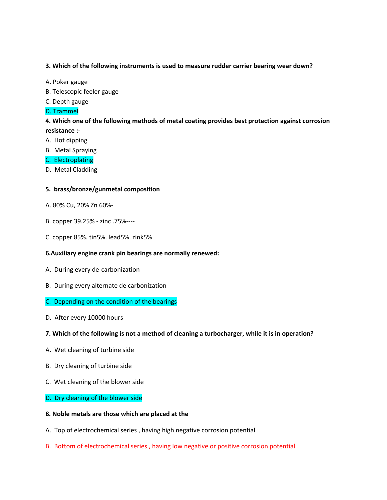### **3. Which of the following instruments is used to measure rudder carrier bearing wear down?**

- A. Poker gauge
- B. Telescopic feeler gauge
- C. Depth gauge
- D. Trammel

**4. Which one of the following methods of metal coating provides best protection against corrosion resistance :-**

- A. Hot dipping
- B. Metal Spraying
- C. Electroplating
- D. Metal Cladding

### **5. brass/bronze/gunmetal composition**

- A. 80% Cu, 20% Zn 60%-
- B. copper 39.25% zinc .75%----
- C. copper 85%. tin5%. lead5%. zink5%

### **6.Auxiliary engine crank pin bearings are normally renewed:**

- A. During every de-carbonization
- B. During every alternate de carbonization
- C. Depending on the condition of the bearings
- D. After every 10000 hours

#### **7. Which of the following is not a method of cleaning a turbocharger, while it is in operation?**

- A. Wet cleaning of turbine side
- B. Dry cleaning of turbine side
- C. Wet cleaning of the blower side

#### D. Dry cleaning of the blower side

#### **8. Noble metals are those which are placed at the**

- A. Top of electrochemical series , having high negative corrosion potential
- B. Bottom of electrochemical series , having low negative or positive corrosion potential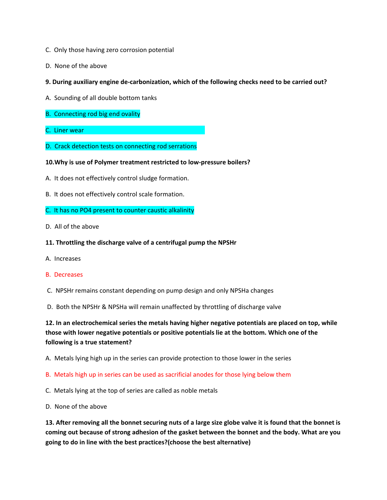- C. Only those having zero corrosion potential
- D. None of the above
- **9. During auxiliary engine de-carbonization, which of the following checks need to be carried out?**
- A. Sounding of all double bottom tanks
- B. Connecting rod big end ovality
- C. Liner wear
- D. Crack detection tests on connecting rod serrations

### **10.Why is use of Polymer treatment restricted to low-pressure boilers?**

- A. It does not effectively control sludge formation.
- B. It does not effectively control scale formation.

#### C. It has no PO4 present to counter caustic alkalinity

D. All of the above

### **11. Throttling the discharge valve of a centrifugal pump the NPSHr**

A. Increases

#### B. Decreases

- C. NPSHr remains constant depending on pump design and only NPSHa changes
- D. Both the NPSHr & NPSHa will remain unaffected by throttling of discharge valve

**12. In an electrochemical series the metals having higher negative potentials are placed on top, while those with lower negative potentials or positive potentials lie at the bottom. Which one of the following is a true statement?** 

A. Metals lying high up in the series can provide protection to those lower in the series

B. Metals high up in series can be used as sacrificial anodes for those lying below them

- C. Metals lying at the top of series are called as noble metals
- D. None of the above

**13. After removing all the bonnet securing nuts of a large size globe valve it is found that the bonnet is coming out because of strong adhesion of the gasket between the bonnet and the body. What are you going to do in line with the best practices?(choose the best alternative)**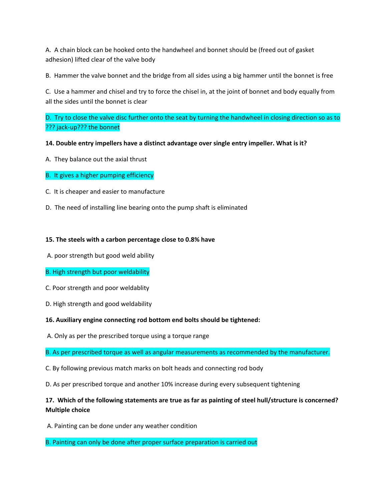A. A chain block can be hooked onto the handwheel and bonnet should be (freed out of gasket adhesion) lifted clear of the valve body

B. Hammer the valve bonnet and the bridge from all sides using a big hammer until the bonnet is free

C. Use a hammer and chisel and try to force the chisel in, at the joint of bonnet and body equally from all the sides until the bonnet is clear

D. Try to close the valve disc further onto the seat by turning the handwheel in closing direction so as to ??? jack-up??? the bonnet

### **14. Double entry impellers have a distinct advantage over single entry impeller. What is it?**

- A. They balance out the axial thrust
- B. It gives a higher pumping efficiency
- C. It is cheaper and easier to manufacture
- D. The need of installing line bearing onto the pump shaft is eliminated

### **15. The steels with a carbon percentage close to 0.8% have**

A. poor strength but good weld ability

### B. High strength but poor weldability

- C. Poor strength and poor weldablity
- D. High strength and good weldability

#### **16. Auxiliary engine connecting rod bottom end bolts should be tightened:**

A. Only as per the prescribed torque using a torque range

B. As per prescribed torque as well as angular measurements as recommended by the manufacturer.

- C. By following previous match marks on bolt heads and connecting rod body
- D. As per prescribed torque and another 10% increase during every subsequent tightening

# **17. Which of the following statements are true as far as painting of steel hull/structure is concerned? Multiple choice**

A. Painting can be done under any weather condition

B. Painting can only be done after proper surface preparation is carried out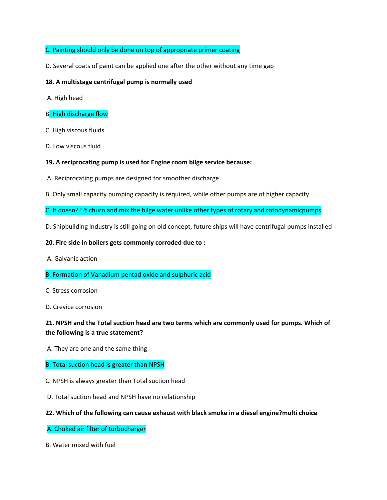## C. Painting should only be done on top of appropriate primer coating

D. Several coats of paint can be applied one after the other without any time gap

### **18. A multistage centrifugal pump is normally used**

- A. High head
- B. High discharge flow
- C. High viscous fluids
- D. Low viscous fluid

### **19. A reciprocating pump is used for Engine room bilge service because:**

- A. Reciprocating pumps are designed for smoother discharge
- B. Only small capacity pumping capacity is required, while other pumps are of higher capacity
- C. It doesn???t churn and mix the bilge water unlike other types of rotary and rotodynamicpumps
- D. Shipbuilding industry is still going on old concept, future ships will have centrifugal pumps installed

#### **20. Fire side in boilers gets commonly corroded due to :**

- A. Galvanic action
- B. Formation of Vanadium pentad oxide and sulphuric acid
- C. Stress corrosion
- D. Crevice corrosion

# **21. NPSH and the Total suction head are two terms which are commonly used for pumps. Which of the following is a true statement?**

A. They are one and the same thing

#### B. Total suction head is greater than NPSH

- C. NPSH is always greater than Total suction head
- D. Total suction head and NPSH have no relationship

#### **22. Which of the following can cause exhaust with black smoke in a diesel engine?multi choice**

#### A. Choked air filter of turbocharger

B. Water mixed with fuel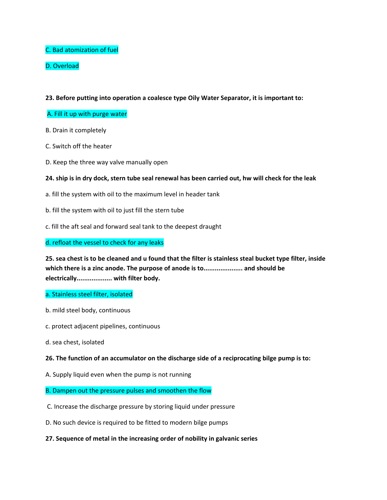## C. Bad atomization of fuel

# D. Overload

### **23. Before putting into operation a coalesce type Oily Water Separator, it is important to:**

### A. Fill it up with purge water

- B. Drain it completely
- C. Switch off the heater
- D. Keep the three way valve manually open

### **24. ship is in dry dock, stern tube seal renewal has been carried out, hw will check for the leak**

- a. fill the system with oil to the maximum level in header tank
- b. fill the system with oil to just fill the stern tube
- c. fill the aft seal and forward seal tank to the deepest draught

d. refloat the vessel to check for any leaks

**25. sea chest is to be cleaned and u found that the filter is stainless steal bucket type filter, inside which there is a zinc anode. The purpose of anode is to..................... and should be electrically................... with filter body.**

#### a. Stainless steel filter, isolated

- b. mild steel body, continuous
- c. protect adjacent pipelines, continuous
- d. sea chest, isolated

#### **26. The function of an accumulator on the discharge side of a reciprocating bilge pump is to:**

A. Supply liquid even when the pump is not running

#### B. Dampen out the pressure pulses and smoothen the flow

- C. Increase the discharge pressure by storing liquid under pressure
- D. No such device is required to be fitted to modern bilge pumps

#### **27. Sequence of metal in the increasing order of nobility in galvanic series**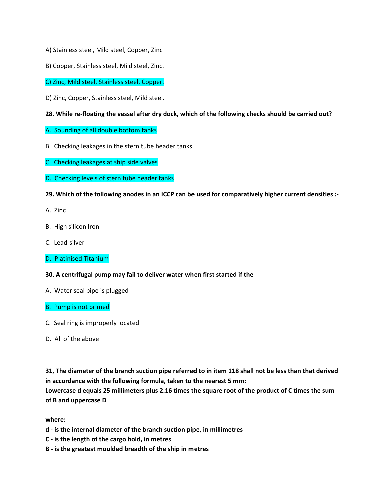- A) Stainless steel, Mild steel, Copper, Zinc
- B) Copper, Stainless steel, Mild steel, Zinc.
- C) Zinc, Mild steel, Stainless steel, Copper.
- D) Zinc, Copper, Stainless steel, Mild steel.
- **28. While re-floating the vessel after dry dock, which of the following checks should be carried out?**
- A. Sounding of all double bottom tanks
- B. Checking leakages in the stern tube header tanks
- C. Checking leakages at ship side valves
- D. Checking levels of stern tube header tanks
- **29. Which of the following anodes in an ICCP can be used for comparatively higher current densities :-**
- A. Zinc
- B. High silicon Iron
- C. Lead-silver
- D. Platinised Titanium
- **30. A centrifugal pump may fail to deliver water when first started if the**
- A. Water seal pipe is plugged
- B. Pump is not primed
- C. Seal ring is improperly located
- D. All of the above

**31, The diameter of the branch suction pipe referred to in item 118 shall not be less than that derived in accordance with the following formula, taken to the nearest 5 mm:**

**Lowercase d equals 25 millimeters plus 2.16 times the square root of the product of C times the sum of B and uppercase D**

**where:**

- **d - is the internal diameter of the branch suction pipe, in millimetres**
- **C - is the length of the cargo hold, in metres**
- **B - is the greatest moulded breadth of the ship in metres**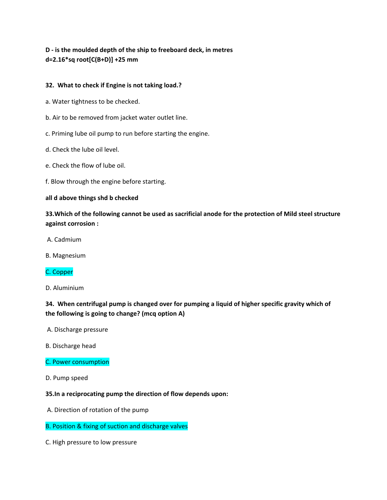# **D - is the moulded depth of the ship to freeboard deck, in metres d=2.16\*sq root[C(B+D)] +25 mm**

## **32. What to check if Engine is not taking load.?**

- a. Water tightness to be checked.
- b. Air to be removed from jacket water outlet line.
- c. Priming lube oil pump to run before starting the engine.
- d. Check the lube oil level.
- e. Check the flow of lube oil.
- f. Blow through the engine before starting.

### **all d above things shd b checked**

**33.Which of the following cannot be used as sacrificial anode for the protection of Mild steel structure against corrosion :**

- A. Cadmium
- B. Magnesium

# C. Copper

D. Aluminium

**34. When centrifugal pump is changed over for pumping a liquid of higher specific gravity which of the following is going to change? (mcq option A)**

A. Discharge pressure

- B. Discharge head
- C. Power consumption
- D. Pump speed

### **35.In a reciprocating pump the direction of flow depends upon:**

- A. Direction of rotation of the pump
- B. Position & fixing of suction and discharge valves
- C. High pressure to low pressure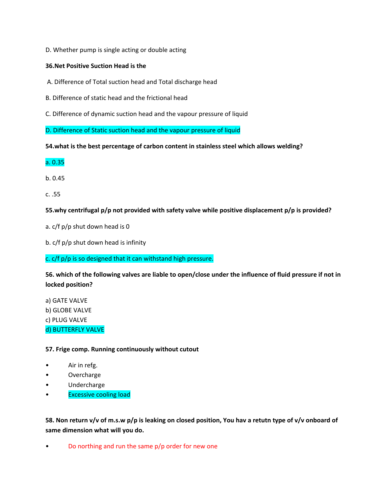D. Whether pump is single acting or double acting

### **36.Net Positive Suction Head is the**

A. Difference of Total suction head and Total discharge head

B. Difference of static head and the frictional head

C. Difference of dynamic suction head and the vapour pressure of liquid

D. Difference of Static suction head and the vapour pressure of liquid

**54.what is the best percentage of carbon content in stainless steel which allows welding?**

a. 0.35

b. 0.45

c. .55

**55.why centrifugal p/p not provided with safety valve while positive displacement p/p is provided?**

a. c/f p/p shut down head is 0

b. c/f p/p shut down head is infinity

c. c/f p/p is so designed that it can withstand high pressure.

**56. which of the following valves are liable to open/close under the influence of fluid pressure if not in locked position?**

a) GATE VALVE b) GLOBE VALVE c) PLUG VALVE d) BUTTERFLY VALVE

**57. Frige comp. Running continuously without cutout**

- Air in refg.
- **Overcharge**
- Undercharge
- Excessive cooling load

**58. Non return v/v of m.s.w p/p is leaking on closed position, You hav a retutn type of v/v onboard of same dimension what will you do.**

Do northing and run the same  $p/p$  order for new one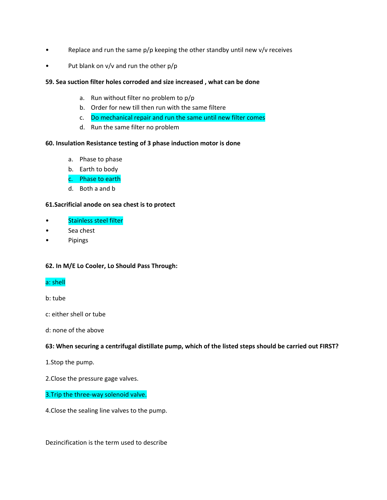- Replace and run the same  $p/p$  keeping the other standby until new  $v/v$  receives
- Put blank on v/v and run the other p/p

### **59. Sea suction filter holes corroded and size increased , what can be done**

- a. Run without filter no problem to p/p
- b. Order for new till then run with the same filtere
- c. Do mechanical repair and run the same until new filter comes
- d. Run the same filter no problem

### **60. Insulation Resistance testing of 3 phase induction motor is done**

- a. Phase to phase
- b. Earth to body
- c. Phase to earth
- d. Both a and b

## **61.Sacrificial anode on sea chest is to protect**

- Stainless steel filter
- Sea chest
- Pipings

### **62. In M/E Lo Cooler, Lo Should Pass Through:**

### a: shell

b: tube

c: either shell or tube

d: none of the above

### **63: When securing a centrifugal distillate pump, which of the listed steps should be carried out FIRST?**

1.Stop the pump.

2.Close the pressure gage valves.

### 3.Trip the three-way solenoid valve.

4.Close the sealing line valves to the pump.

Dezincification is the term used to describe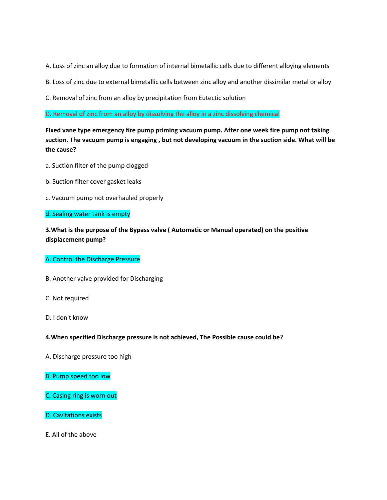A. Loss of zinc an alloy due to formation of internal bimetallic cells due to different alloying elements

B. Loss of zinc due to external bimetallic cells between zinc alloy and another dissimilar metal or alloy

C. Removal of zinc from an alloy by precipitation from Eutectic solution

D. Removal of zinc from an alloy by dissolving the alloy in a zinc dissolving chemical

**Fixed vane type emergency fire pump priming vacuum pump. After one week fire pump not taking suction. The vacuum pump is engaging , but not developing vacuum in the suction side. What will be the cause?**

- a. Suction filter of the pump clogged
- b. Suction filter cover gasket leaks
- c. Vacuum pump not overhauled properly

### d. Sealing water tank is empty

**3.What is the purpose of the Bypass valve ( Automatic or Manual operated) on the positive displacement pump?**

### A. Control the Discharge Pressure

B. Another valve provided for Discharging

C. Not required

D. I don't know

### **4.When specified Discharge pressure is not achieved, The Possible cause could be?**

A. Discharge pressure too high

B. Pump speed too low

C. Casing ring is worn out

D. Cavitations exists

E. All of the above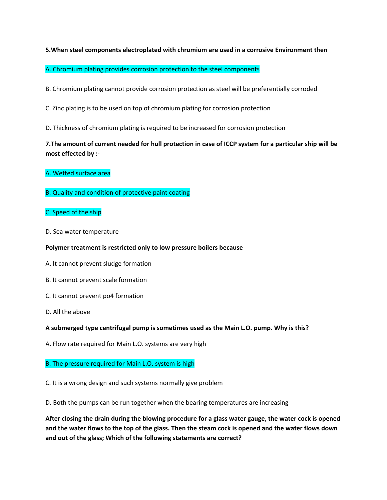### **5.When steel components electroplated with chromium are used in a corrosive Environment then**

A. Chromium plating provides corrosion protection to the steel components

B. Chromium plating cannot provide corrosion protection as steel will be preferentially corroded

C. Zinc plating is to be used on top of chromium plating for corrosion protection

D. Thickness of chromium plating is required to be increased for corrosion protection

# **7.The amount of current needed for hull protection in case of ICCP system for a particular ship will be most effected by :-**

- A. Wetted surface area
- B. Quality and condition of protective paint coating
- C. Speed of the ship
- D. Sea water temperature

#### **Polymer treatment is restricted only to low pressure boilers because**

- A. It cannot prevent sludge formation
- B. It cannot prevent scale formation
- C. It cannot prevent po4 formation
- D. All the above

#### **A submerged type centrifugal pump is sometimes used as the Main L.O. pump. Why is this?**

A. Flow rate required for Main L.O. systems are very high

#### B. The pressure required for Main L.O. system is high

C. It is a wrong design and such systems normally give problem

D. Both the pumps can be run together when the bearing temperatures are increasing

**After closing the drain during the blowing procedure for a glass water gauge, the water cock is opened and the water flows to the top of the glass. Then the steam cock is opened and the water flows down and out of the glass; Which of the following statements are correct?**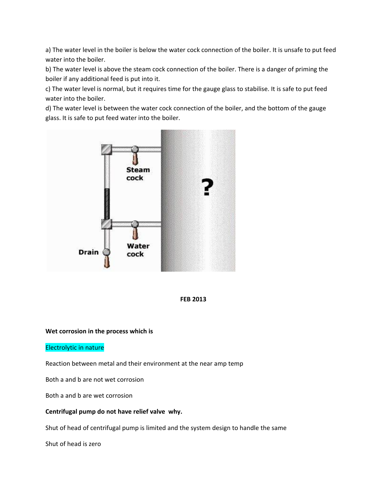a) The water level in the boiler is below the water cock connection of the boiler. It is unsafe to put feed water into the boiler.

b) The water level is above the steam cock connection of the boiler. There is a danger of priming the boiler if any additional feed is put into it.

c) The water level is normal, but it requires time for the gauge glass to stabilise. It is safe to put feed water into the boiler.

d) The water level is between the water cock connection of the boiler, and the bottom of the gauge glass. It is safe to put feed water into the boiler.





### **Wet corrosion in the process which is**

#### Electrolytic in nature

Reaction between metal and their environment at the near amp temp

Both a and b are not wet corrosion

Both a and b are wet corrosion

### **Centrifugal pump do not have relief valve why.**

Shut of head of centrifugal pump is limited and the system design to handle the same

Shut of head is zero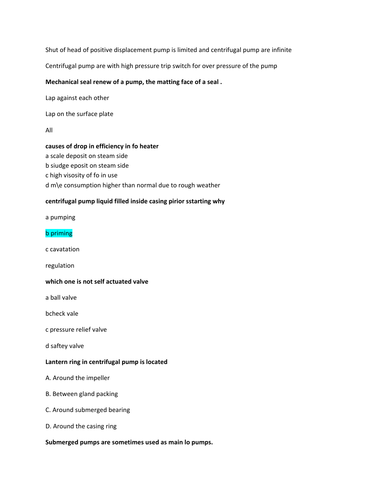Shut of head of positive displacement pump is limited and centrifugal pump are infinite

Centrifugal pump are with high pressure trip switch for over pressure of the pump

## **Mechanical seal renew of a pump, the matting face of a seal .**

Lap against each other

Lap on the surface plate

All

## **causes of drop in efficiency in fo heater**

a scale deposit on steam side b siudge eposit on steam side c high visosity of fo in use d m\e consumption higher than normal due to rough weather

## **centrifugal pump liquid filled inside casing pirior sstarting why**

a pumping

### b priming

c cavatation

regulation

# **which one is not self actuated valve**

a ball valve

bcheck vale

c pressure relief valve

d saftey valve

### **Lantern ring in centrifugal pump is located**

A. Around the impeller

- B. Between gland packing
- C. Around submerged bearing
- D. Around the casing ring

### **Submerged pumps are sometimes used as main lo pumps.**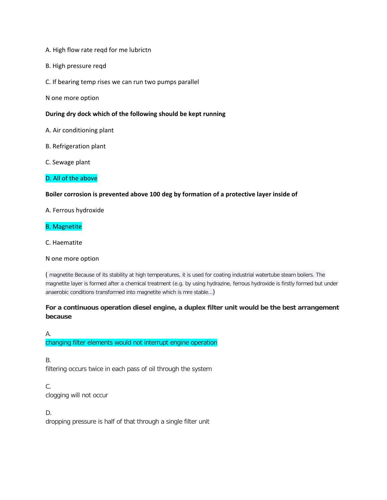- A. High flow rate reqd for me lubrictn
- B. High pressure reqd
- C. If bearing temp rises we can run two pumps parallel
- N one more option

### **During dry dock which of the following should be kept running**

- A. Air conditioning plant
- B. Refrigeration plant
- C. Sewage plant

### D. All of the above

### **Boiler corrosion is prevented above 100 deg by formation of a protective layer inside of**

A. Ferrous hydroxide

### B. Magnetite

C. Haematite

#### N one more option

( magnetite Because of its stability at high temperatures, it is used for coating industrial watertube steam boilers. The magnetite layer is formed after a chemical treatment (e.g. by using hydrazine, ferrous hydroxide is firstly formed but under anaerobic conditions transformed into magnetite which is mre stable...)

# **For a continuous operation diesel engine, a duplex filter unit would be the best arrangement because**

A. changing filter elements would not interrupt engine operation

B. filtering occurs twice in each pass of oil through the system

C. clogging will not occur

D. dropping pressure is half of that through a single filter unit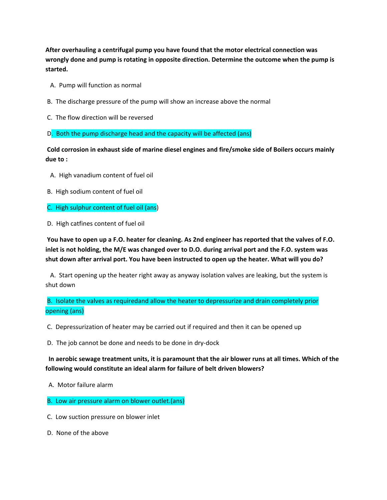**After overhauling a centrifugal pump you have found that the motor electrical connection was wrongly done and pump is rotating in opposite direction. Determine the outcome when the pump is started.** 

- A. Pump will function as normal
- B. The discharge pressure of the pump will show an increase above the normal
- C. The flow direction will be reversed

D. Both the pump discharge head and the capacity will be affected (ans)

**Cold corrosion in exhaust side of marine diesel engines and fire/smoke side of Boilers occurs mainly due to :** 

- A. High vanadium content of fuel oil
- B. High sodium content of fuel oil
- C. High sulphur content of fuel oil (ans)
- D. High catfines content of fuel oil

**You have to open up a F.O. heater for cleaning. As 2nd engineer has reported that the valves of F.O. inlet is not holding, the M/E was changed over to D.O. during arrival port and the F.O. system was shut down after arrival port. You have been instructed to open up the heater. What will you do?** 

 A. Start opening up the heater right away as anyway isolation valves are leaking, but the system is shut down

B. Isolate the valves as requiredand allow the heater to depressurize and drain completely prior opening (ans)

C. Depressurization of heater may be carried out if required and then it can be opened up

D. The job cannot be done and needs to be done in dry-dock

 **In aerobic sewage treatment units, it is paramount that the air blower runs at all times. Which of the following would constitute an ideal alarm for failure of belt driven blowers?** 

A. Motor failure alarm

- B. Low air pressure alarm on blower outlet.(ans)
- C. Low suction pressure on blower inlet
- D. None of the above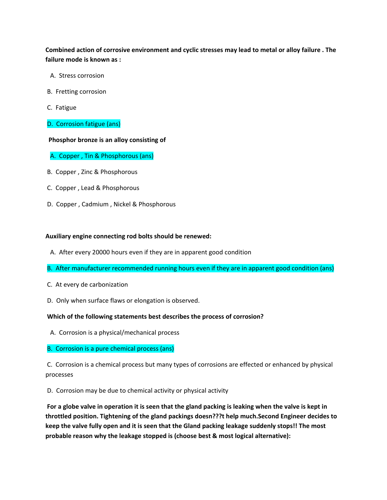**Combined action of corrosive environment and cyclic stresses may lead to metal or alloy failure . The failure mode is known as :** 

- A. Stress corrosion
- B. Fretting corrosion
- C. Fatigue
- D. Corrosion fatigue (ans)

#### **Phosphor bronze is an alloy consisting of**

- A. Copper , Tin & Phosphorous (ans)
- B. Copper , Zinc & Phosphorous
- C. Copper , Lead & Phosphorous
- D. Copper , Cadmium , Nickel & Phosphorous

### **Auxiliary engine connecting rod bolts should be renewed:**

- A. After every 20000 hours even if they are in apparent good condition
- B. After manufacturer recommended running hours even if they are in apparent good condition (ans)
- C. At every de carbonization
- D. Only when surface flaws or elongation is observed.

#### **Which of the following statements best describes the process of corrosion?**

A. Corrosion is a physical/mechanical process

#### B. Corrosion is a pure chemical process (ans)

C. Corrosion is a chemical process but many types of corrosions are effected or enhanced by physical processes

D. Corrosion may be due to chemical activity or physical activity

**For a globe valve in operation it is seen that the gland packing is leaking when the valve is kept in throttled position. Tightening of the gland packings doesn???t help much.Second Engineer decides to keep the valve fully open and it is seen that the Gland packing leakage suddenly stops!! The most probable reason why the leakage stopped is (choose best & most logical alternative):**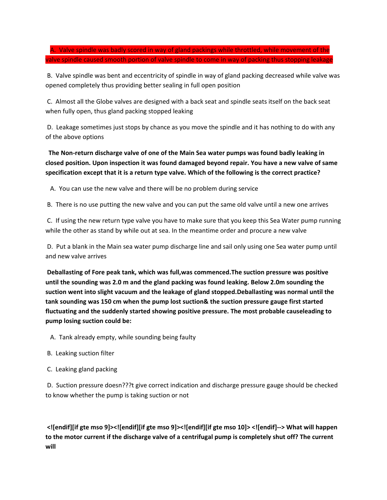A. Valve spindle was badly scored in way of gland packings while throttled, while movement of the valve spindle caused smooth portion of valve spindle to come in way of packing thus stopping leakage

B. Valve spindle was bent and eccentricity of spindle in way of gland packing decreased while valve was opened completely thus providing better sealing in full open position

C. Almost all the Globe valves are designed with a back seat and spindle seats itself on the back seat when fully open, thus gland packing stopped leaking

D. Leakage sometimes just stops by chance as you move the spindle and it has nothing to do with any of the above options

 **The Non-return discharge valve of one of the Main Sea water pumps was found badly leaking in closed position. Upon inspection it was found damaged beyond repair. You have a new valve of same specification except that it is a return type valve. Which of the following is the correct practice?** 

A. You can use the new valve and there will be no problem during service

B. There is no use putting the new valve and you can put the same old valve until a new one arrives

C. If using the new return type valve you have to make sure that you keep this Sea Water pump running while the other as stand by while out at sea. In the meantime order and procure a new valve

D. Put a blank in the Main sea water pump discharge line and sail only using one Sea water pump until and new valve arrives

**Deballasting of Fore peak tank, which was full,was commenced.The suction pressure was positive until the sounding was 2.0 m and the gland packing was found leaking. Below 2.0m sounding the suction went into slight vacuum and the leakage of gland stopped.Deballasting was normal until the tank sounding was 150 cm when the pump lost suction& the suction pressure gauge first started fluctuating and the suddenly started showing positive pressure. The most probable causeleading to pump losing suction could be:** 

A. Tank already empty, while sounding being faulty

- B. Leaking suction filter
- C. Leaking gland packing

D. Suction pressure doesn???t give correct indication and discharge pressure gauge should be checked to know whether the pump is taking suction or not

**<![endif][if gte mso 9]><![endif][if gte mso 9]><![endif][if gte mso 10]> <![endif]--> What will happen to the motor current if the discharge valve of a centrifugal pump is completely shut off? The current will**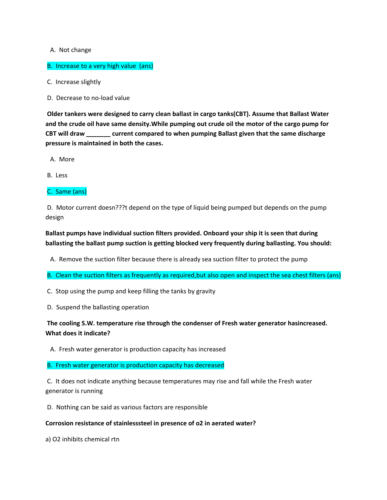### A. Not change

### B. Increase to a very high value (ans)

- C. Increase slightly
- D. Decrease to no-load value

**Older tankers were designed to carry clean ballast in cargo tanks(CBT). Assume that Ballast Water and the crude oil have same density.While pumping out crude oil the motor of the cargo pump for CBT will draw \_\_\_\_\_\_\_ current compared to when pumping Ballast given that the same discharge pressure is maintained in both the cases.** 

A. More

B. Less

C. Same (ans)

D. Motor current doesn???t depend on the type of liquid being pumped but depends on the pump design

**Ballast pumps have individual suction filters provided. Onboard your ship it is seen that during ballasting the ballast pump suction is getting blocked very frequently during ballasting. You should:** 

A. Remove the suction filter because there is already sea suction filter to protect the pump

B. Clean the suction filters as frequently as required,but also open and inspect the sea chest filters (ans)

C. Stop using the pump and keep filling the tanks by gravity

D. Suspend the ballasting operation

**The cooling S.W. temperature rise through the condenser of Fresh water generator hasincreased. What does it indicate?** 

A. Fresh water generator is production capacity has increased

#### B. Fresh water generator is production capacity has decreased

C. It does not indicate anything because temperatures may rise and fall while the Fresh water generator is running

D. Nothing can be said as various factors are responsible

#### **Corrosion resistance of stainlesssteel in presence of o2 in aerated water?**

a) O2 inhibits chemical rtn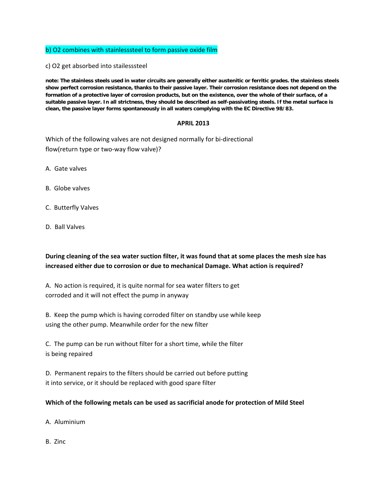### b) O2 combines with stainlesssteel to form passive oxide film

c) O2 get absorbed into stailesssteel

**note: The stainless steels used in water circuits are generally either austenitic or ferritic grades. the stainless steels show perfect corrosion resistance, thanks to their passive layer. Their corrosion resistance does not depend on the formation of a protective layer of corrosion products, but on the existence, over the whole of their surface, of a suitable passive layer. In all strictness, they should be described as self-passivating steels. If the metal surface is clean, the passive layer forms spontaneously in all waters complying with the EC Directive 98/83.**

### **APRIL 2013**

Which of the following valves are not designed normally for bi-directional flow(return type or two-way flow valve)?

- A. Gate valves
- B. Globe valves
- C. Butterfly Valves
- D. Ball Valves

**During cleaning of the sea water suction filter, it was found that at some places the mesh size has increased either due to corrosion or due to mechanical Damage. What action is required?**

A. No action is required, it is quite normal for sea water filters to get corroded and it will not effect the pump in anyway

B. Keep the pump which is having corroded filter on standby use while keep using the other pump. Meanwhile order for the new filter

C. The pump can be run without filter for a short time, while the filter is being repaired

D. Permanent repairs to the filters should be carried out before putting it into service, or it should be replaced with good spare filter

### **Which of the following metals can be used as sacrificial anode for protection of Mild Steel**

A. Aluminium

B. Zinc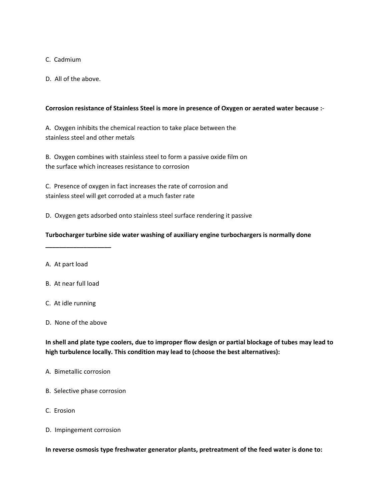## C. Cadmium

D. All of the above.

### **Corrosion resistance of Stainless Steel is more in presence of Oxygen or aerated water because :**-

A. Oxygen inhibits the chemical reaction to take place between the stainless steel and other metals

B. Oxygen combines with stainless steel to form a passive oxide film on the surface which increases resistance to corrosion

C. Presence of oxygen in fact increases the rate of corrosion and stainless steel will get corroded at a much faster rate

D. Oxygen gets adsorbed onto stainless steel surface rendering it passive

## **Turbocharger turbine side water washing of auxiliary engine turbochargers is normally done**

- A. At part load
- B. At near full load

**\_\_\_\_\_\_\_\_\_\_\_\_\_\_\_\_\_\_\_**

- C. At idle running
- D. None of the above

**In shell and plate type coolers, due to improper flow design or partial blockage of tubes may lead to high turbulence locally. This condition may lead to (choose the best alternatives):**

- A. Bimetallic corrosion
- B. Selective phase corrosion
- C. Erosion
- D. Impingement corrosion

**In reverse osmosis type freshwater generator plants, pretreatment of the feed water is done to:**